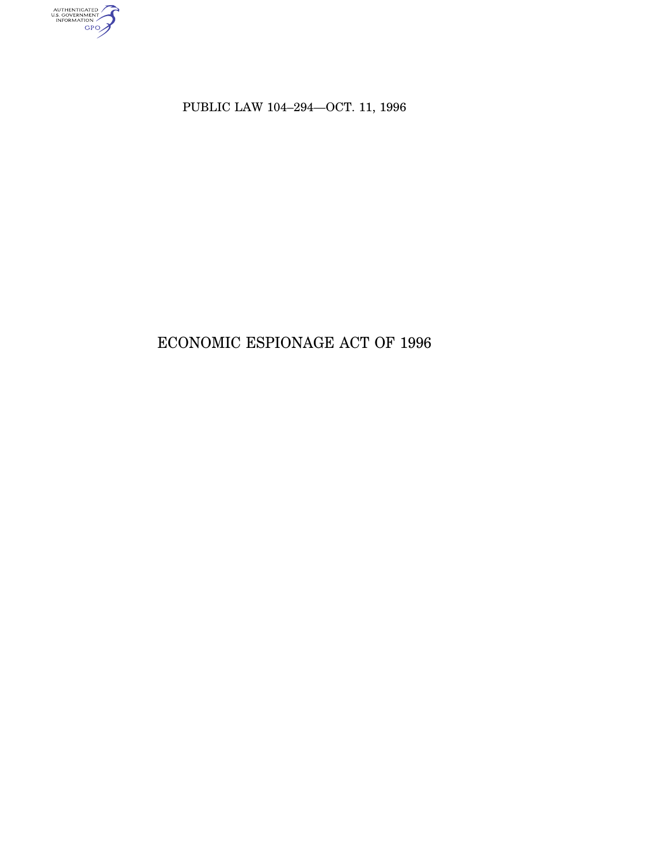

PUBLIC LAW 104–294—OCT. 11, 1996

# ECONOMIC ESPIONAGE ACT OF 1996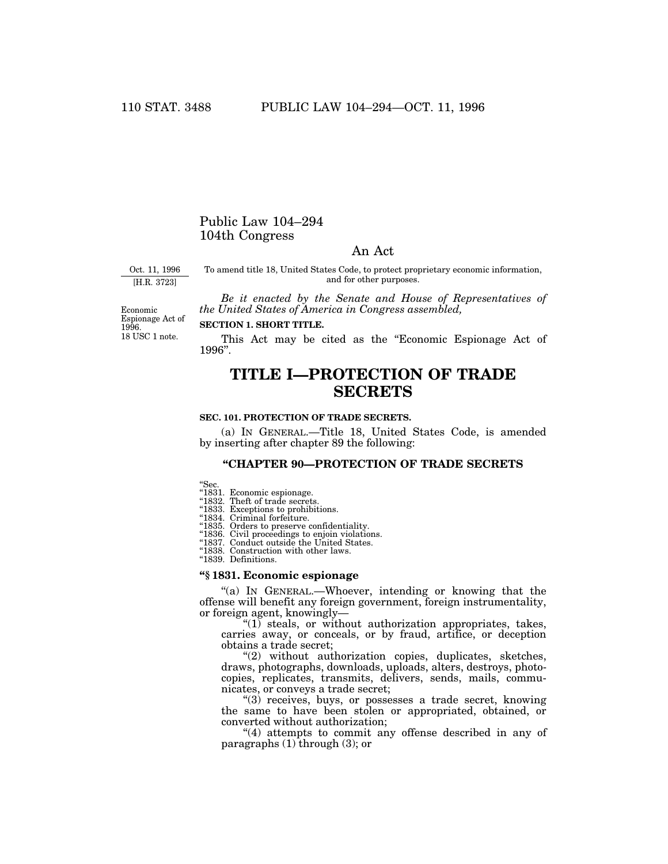### Public Law 104–294 104th Congress

### An Act

Oct. 11, 1996 [H.R. 3723]

To amend title 18, United States Code, to protect proprietary economic information, and for other purposes.

*Be it enacted by the Senate and House of Representatives of the United States of America in Congress assembled,*

18 USC 1 note. Economic Espionage Act of 1996.

### **SECTION 1. SHORT TITLE.**

This Act may be cited as the "Economic Espionage Act of 1996''.

## **TITLE I—PROTECTION OF TRADE SECRETS**

#### **SEC. 101. PROTECTION OF TRADE SECRETS.**

(a) IN GENERAL.—Title 18, United States Code, is amended by inserting after chapter 89 the following:

### **''CHAPTER 90—PROTECTION OF TRADE SECRETS**

''Sec.

''1831. Economic espionage. ''1832. Theft of trade secrets. ''1833. Exceptions to prohibitions.

"1834. Criminal forfeiture.<br>"1835. Orders to preserve confidentiality.

''1836. Civil proceedings to enjoin violations. ''1837. Conduct outside the United States. ''1838. Construction with other laws. ''1839. Definitions.

### **''§ 1831. Economic espionage**

"(a) In GENERAL.—Whoever, intending or knowing that the offense will benefit any foreign government, foreign instrumentality, or foreign agent, knowingly—

 $\degree$ (1) steals, or without authorization appropriates, takes, carries away, or conceals, or by fraud, artifice, or deception obtains a trade secret;

"(2) without authorization copies, duplicates, sketches, draws, photographs, downloads, uploads, alters, destroys, photocopies, replicates, transmits, delivers, sends, mails, communicates, or conveys a trade secret;

''(3) receives, buys, or possesses a trade secret, knowing the same to have been stolen or appropriated, obtained, or converted without authorization;

"(4) attempts to commit any offense described in any of paragraphs  $(1)$  through  $(3)$ ; or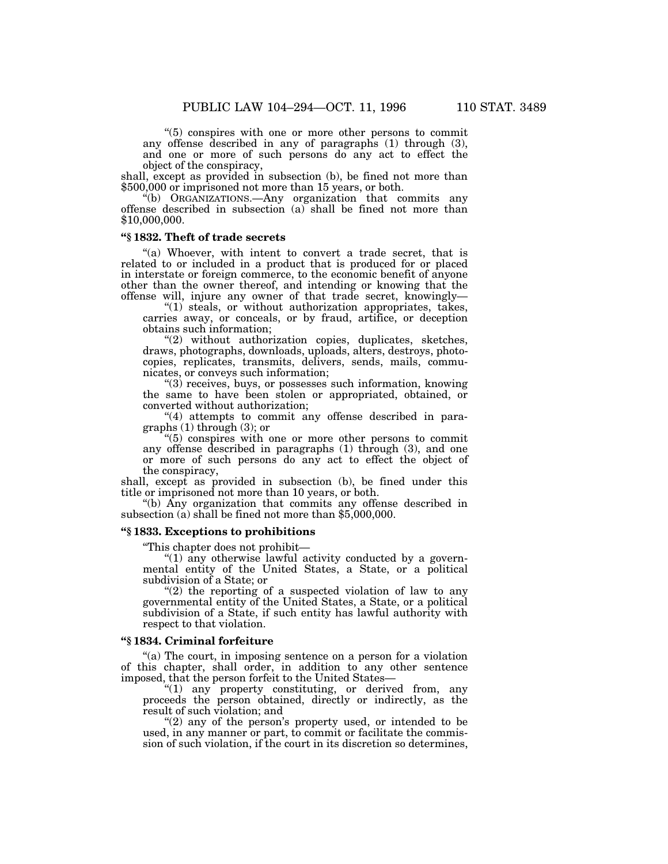''(5) conspires with one or more other persons to commit any offense described in any of paragraphs (1) through (3), and one or more of such persons do any act to effect the object of the conspiracy,

shall, except as provided in subsection (b), be fined not more than \$500,000 or imprisoned not more than 15 years, or both.

''(b) ORGANIZATIONS.—Any organization that commits any offense described in subsection (a) shall be fined not more than \$10,000,000.

### **''§ 1832. Theft of trade secrets**

"(a) Whoever, with intent to convert a trade secret, that is related to or included in a product that is produced for or placed in interstate or foreign commerce, to the economic benefit of anyone other than the owner thereof, and intending or knowing that the offense will, injure any owner of that trade secret, knowingly—

" $(1)$  steals, or without authorization appropriates, takes, carries away, or conceals, or by fraud, artifice, or deception obtains such information;

''(2) without authorization copies, duplicates, sketches, draws, photographs, downloads, uploads, alters, destroys, photocopies, replicates, transmits, delivers, sends, mails, communicates, or conveys such information;

 $(3)$  receives, buys, or possesses such information, knowing the same to have been stolen or appropriated, obtained, or converted without authorization;

"(4) attempts to commit any offense described in paragraphs (1) through (3); or

''(5) conspires with one or more other persons to commit any offense described in paragraphs (1) through (3), and one or more of such persons do any act to effect the object of the conspiracy,

shall, except as provided in subsection (b), be fined under this title or imprisoned not more than 10 years, or both.

''(b) Any organization that commits any offense described in subsection (a) shall be fined not more than \$5,000,000.

### **''§ 1833. Exceptions to prohibitions**

''This chapter does not prohibit—

''(1) any otherwise lawful activity conducted by a governmental entity of the United States, a State, or a political subdivision of a State; or

"(2) the reporting of a suspected violation of law to any governmental entity of the United States, a State, or a political subdivision of a State, if such entity has lawful authority with respect to that violation.

### **''§ 1834. Criminal forfeiture**

''(a) The court, in imposing sentence on a person for a violation of this chapter, shall order, in addition to any other sentence imposed, that the person forfeit to the United States—

 $"(1)$  any property constituting, or derived from, any proceeds the person obtained, directly or indirectly, as the result of such violation; and

" $(2)$  any of the person's property used, or intended to be used, in any manner or part, to commit or facilitate the commission of such violation, if the court in its discretion so determines,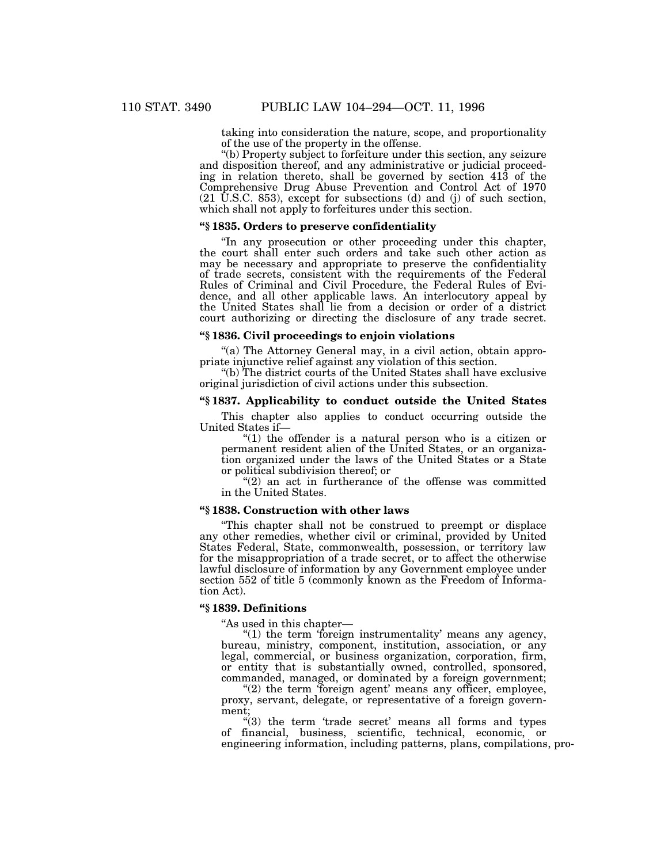taking into consideration the nature, scope, and proportionality of the use of the property in the offense.

''(b) Property subject to forfeiture under this section, any seizure and disposition thereof, and any administrative or judicial proceeding in relation thereto, shall be governed by section 413 of the Comprehensive Drug Abuse Prevention and Control Act of 1970 (21 U.S.C. 853), except for subsections (d) and (j) of such section, which shall not apply to forfeitures under this section.

### **''§ 1835. Orders to preserve confidentiality**

''In any prosecution or other proceeding under this chapter, the court shall enter such orders and take such other action as may be necessary and appropriate to preserve the confidentiality of trade secrets, consistent with the requirements of the Federal Rules of Criminal and Civil Procedure, the Federal Rules of Evidence, and all other applicable laws. An interlocutory appeal by the United States shall lie from a decision or order of a district court authorizing or directing the disclosure of any trade secret.

### **''§ 1836. Civil proceedings to enjoin violations**

"(a) The Attorney General may, in a civil action, obtain appropriate injunctive relief against any violation of this section.

''(b) The district courts of the United States shall have exclusive original jurisdiction of civil actions under this subsection.

### **''§ 1837. Applicability to conduct outside the United States**

This chapter also applies to conduct occurring outside the United States if—

" $(1)$  the offender is a natural person who is a citizen or permanent resident alien of the United States, or an organization organized under the laws of the United States or a State or political subdivision thereof; or

"(2) an act in furtherance of the offense was committed in the United States.

### **''§ 1838. Construction with other laws**

''This chapter shall not be construed to preempt or displace any other remedies, whether civil or criminal, provided by United States Federal, State, commonwealth, possession, or territory law for the misappropriation of a trade secret, or to affect the otherwise lawful disclosure of information by any Government employee under section 552 of title 5 (commonly known as the Freedom of Information Act).

### **''§ 1839. Definitions**

''As used in this chapter—

"(1) the term 'foreign instrumentality' means any agency, bureau, ministry, component, institution, association, or any legal, commercial, or business organization, corporation, firm, or entity that is substantially owned, controlled, sponsored, commanded, managed, or dominated by a foreign government;

" $(2)$  the term 'foreign agent' means any officer, employee, proxy, servant, delegate, or representative of a foreign government;

" $(3)$  the term 'trade secret' means all forms and types of financial, business, scientific, technical, economic, or engineering information, including patterns, plans, compilations, pro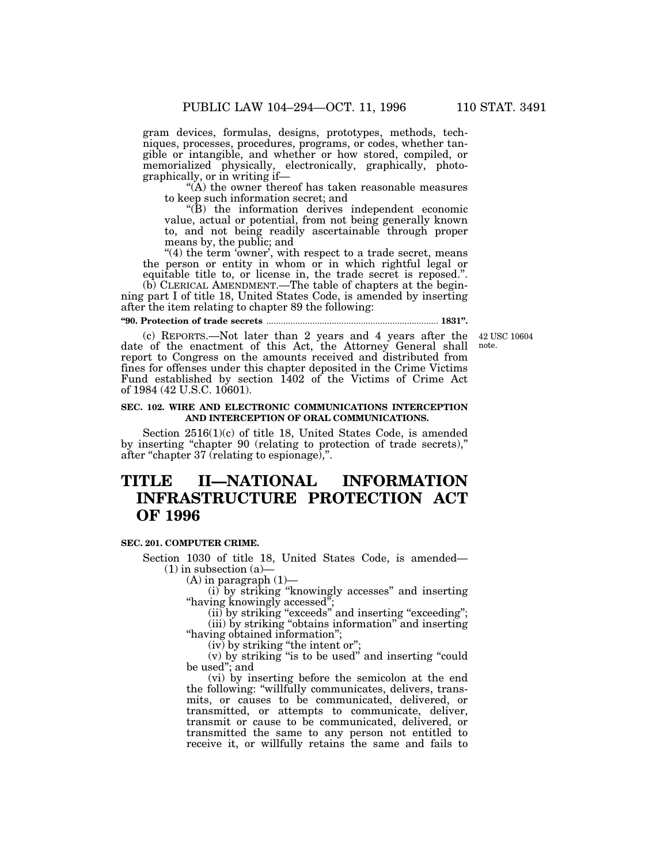gram devices, formulas, designs, prototypes, methods, techniques, processes, procedures, programs, or codes, whether tangible or intangible, and whether or how stored, compiled, or memorialized physically, electronically, graphically, photographically, or in writing if—

 $\mathcal{H}(A)$  the owner thereof has taken reasonable measures to keep such information secret; and

 $\mathrm{H}(B)$  the information derives independent economic value, actual or potential, from not being generally known to, and not being readily ascertainable through proper means by, the public; and

"(4) the term 'owner', with respect to a trade secret, means the person or entity in whom or in which rightful legal or equitable title to, or license in, the trade secret is reposed.''. (b) CLERICAL AMENDMENT.—The table of chapters at the begin-

ning part I of title 18, United States Code, is amended by inserting after the item relating to chapter 89 the following:

### **''90. Protection of trade secrets** ....................................................................... **1831''.**

note.

(c) REPORTS.—Not later than 2 years and 4 years after the 42 USC 10604 date of the enactment of this Act, the Attorney General shall report to Congress on the amounts received and distributed from fines for offenses under this chapter deposited in the Crime Victims Fund established by section 1402 of the Victims of Crime Act of 1984 (42 U.S.C. 10601).

### **SEC. 102. WIRE AND ELECTRONIC COMMUNICATIONS INTERCEPTION AND INTERCEPTION OF ORAL COMMUNICATIONS.**

Section 2516(1)(c) of title 18, United States Code, is amended by inserting ''chapter 90 (relating to protection of trade secrets),'' after "chapter 37 (relating to espionage),".

### **TITLE II—NATIONAL INFORMATION INFRASTRUCTURE PROTECTION ACT OF 1996**

### **SEC. 201. COMPUTER CRIME.**

Section 1030 of title 18, United States Code, is amended—  $(1)$  in subsection  $(a)$ 

 $(A)$  in paragraph  $(1)$ —

(i) by striking ''knowingly accesses'' and inserting ''having knowingly accessed'';

 $(ii)$  by striking "exceeds" and inserting "exceeding"; (iii) by striking "obtains information" and inserting

''having obtained information'';

 $(iv)$  by striking "the intent or";

(v) by striking ''is to be used'' and inserting ''could be used''; and

(vi) by inserting before the semicolon at the end the following: ''willfully communicates, delivers, transmits, or causes to be communicated, delivered, or transmitted, or attempts to communicate, deliver, transmit or cause to be communicated, delivered, or transmitted the same to any person not entitled to receive it, or willfully retains the same and fails to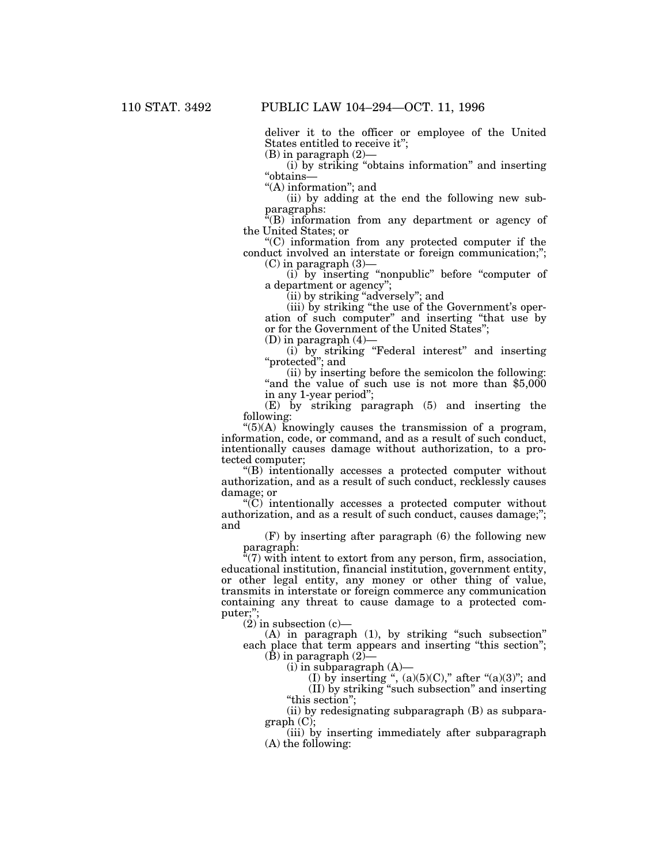deliver it to the officer or employee of the United States entitled to receive it'';

(B) in paragraph (2)—

(i) by striking ''obtains information'' and inserting ''obtains—

"(A) information"; and

(ii) by adding at the end the following new subparagraphs:

"(B) information from any department or agency of the United States; or

''(C) information from any protected computer if the conduct involved an interstate or foreign communication;'';

 $(C)$  in paragraph  $(3)$ -

(i) by inserting ''nonpublic'' before ''computer of a department or agency'';

(ii) by striking ''adversely''; and

(iii) by striking ''the use of the Government's operation of such computer'' and inserting ''that use by or for the Government of the United States''; (D) in paragraph (4)—

(i) by striking ''Federal interest'' and inserting ''protected''; and

(ii) by inserting before the semicolon the following: "and the value of such use is not more than \$5,000 in any 1-year period'';

(E) by striking paragraph (5) and inserting the following:

" $(5)(A)$  knowingly causes the transmission of a program, information, code, or command, and as a result of such conduct, intentionally causes damage without authorization, to a protected computer;

''(B) intentionally accesses a protected computer without authorization, and as a result of such conduct, recklessly causes damage; or

''(C) intentionally accesses a protected computer without authorization, and as a result of such conduct, causes damage;''; and

(F) by inserting after paragraph (6) the following new paragraph:

 $\sqrt[n]{(7)}$  with intent to extort from any person, firm, association, educational institution, financial institution, government entity, or other legal entity, any money or other thing of value, transmits in interstate or foreign commerce any communication containing any threat to cause damage to a protected computer;'';

 $(2)$  in subsection  $(c)$ —

(A) in paragraph (1), by striking ''such subsection'' each place that term appears and inserting "this section"; (B) in paragraph  $(2)$ —

(i) in subparagraph (A)—

(I) by inserting ",  $(a)(5)(C)$ ," after " $(a)(3)$ "; and (II) by striking ''such subsection'' and inserting

''this section'';

(ii) by redesignating subparagraph (B) as subparagraph (C);

(iii) by inserting immediately after subparagraph (A) the following: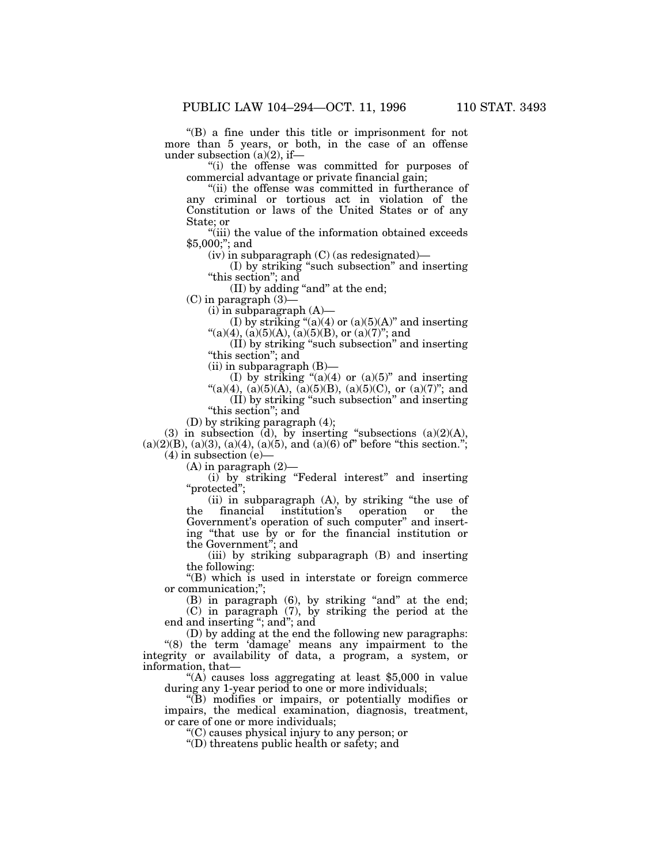''(B) a fine under this title or imprisonment for not more than 5 years, or both, in the case of an offense under subsection  $(a)(2)$ , if—

''(i) the offense was committed for purposes of commercial advantage or private financial gain;

''(ii) the offense was committed in furtherance of any criminal or tortious act in violation of the Constitution or laws of the United States or of any State; or

''(iii) the value of the information obtained exceeds \$5,000;''; and

 $(iv)$  in subparagraph  $(C)$  (as redesignated)—

(I) by striking ''such subsection'' and inserting "this section"; and

(II) by adding "and" at the end;

(C) in paragraph (3)—

 $(i)$  in subparagraph  $(A)$ —

(I) by striking " $(a)(4)$  or  $(a)(5)(A)$ " and inserting  $\rm ``(a)(4),$   $\rm(a)(5)(A),$   $\rm(a)(5)(B),$  or  $\rm(a)(7)$ "; and

(II) by striking ''such subsection'' and inserting "this section"; and

(ii) in subparagraph (B)—

(I) by striking " $(a)(4)$  or  $(a)(5)$ " and inserting

"(a)(4), (a)(5)(A), (a)(5)(B), (a)(5)(C), or (a)(7)"; and (II) by striking ''such subsection'' and inserting

"this section"; and

(D) by striking paragraph (4);

(3) in subsection (d), by inserting "subsections  $(a)(2)(A)$ ,  $(a)(2)(B)$ ,  $(a)(3)$ ,  $(a)(4)$ ,  $(a)(5)$ , and  $(a)(6)$  of" before "this section."; (4) in subsection (e)—

(A) in paragraph (2)—

(i) by striking ''Federal interest'' and inserting ''protected'';

(ii) in subparagraph (A), by striking ''the use of the financial institution's operation or the Government's operation of such computer'' and inserting ''that use by or for the financial institution or the Government''; and

(iii) by striking subparagraph (B) and inserting the following:

''(B) which is used in interstate or foreign commerce or communication;'';

(B) in paragraph (6), by striking "and" at the end; (C) in paragraph (7), by striking the period at the

end and inserting ''; and''; and

(D) by adding at the end the following new paragraphs: "(8) the term 'damage' means any impairment to the integrity or availability of data, a program, a system, or information, that—

"(A) causes loss aggregating at least \$5,000 in value during any 1-year period to one or more individuals;

 $\sqrt[m]{B}$  modifies or impairs, or potentially modifies or impairs, the medical examination, diagnosis, treatment, or care of one or more individuals;

''(C) causes physical injury to any person; or

''(D) threatens public health or safety; and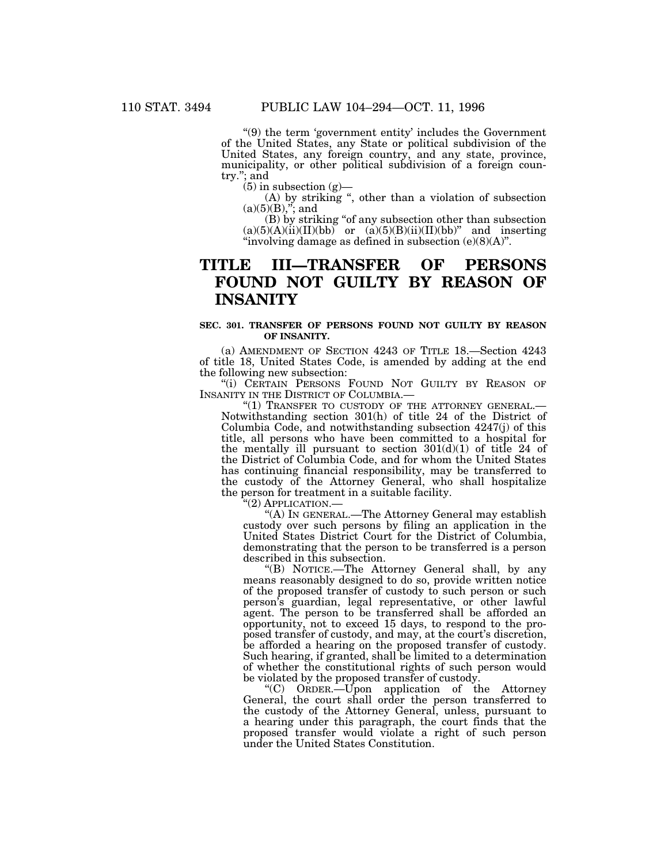''(9) the term 'government entity' includes the Government of the United States, any State or political subdivision of the United States, any foreign country, and any state, province, municipality, or other political subdivision of a foreign country.''; and

 $(5)$  in subsection  $(g)$ —

(A) by striking '', other than a violation of subsection  $(a)(5)(B),''$ ; and

(B) by striking ''of any subsection other than subsection  $(a)(5)(A)(ii)(II)(bb)$  or  $(a)(5)(B)(ii)(II)(bb)$ " and inserting ''involving damage as defined in subsection (e)(8)(A)''.

### **TITLE III—TRANSFER OF PERSONS FOUND NOT GUILTY BY REASON OF INSANITY**

### **SEC. 301. TRANSFER OF PERSONS FOUND NOT GUILTY BY REASON OF INSANITY.**

(a) AMENDMENT OF SECTION 4243 OF TITLE 18.—Section 4243 of title 18, United States Code, is amended by adding at the end the following new subsection:

"(i) CERTAIN PERSONS FOUND NOT GUILTY BY REASON OF INSANITY IN THE DISTRICT OF COLUMBIA.—

"(1) TRANSFER TO CUSTODY OF THE ATTORNEY GENERAL.-Notwithstanding section 301(h) of title 24 of the District of Columbia Code, and notwithstanding subsection 4247(j) of this title, all persons who have been committed to a hospital for the mentally ill pursuant to section  $301(d)(1)$  of title 24 of the District of Columbia Code, and for whom the United States has continuing financial responsibility, may be transferred to the custody of the Attorney General, who shall hospitalize the person for treatment in a suitable facility.

'(2) APPLICATION.-

''(A) IN GENERAL.—The Attorney General may establish custody over such persons by filing an application in the United States District Court for the District of Columbia, demonstrating that the person to be transferred is a person described in this subsection.

''(B) NOTICE.—The Attorney General shall, by any means reasonably designed to do so, provide written notice of the proposed transfer of custody to such person or such person's guardian, legal representative, or other lawful agent. The person to be transferred shall be afforded an opportunity, not to exceed 15 days, to respond to the proposed transfer of custody, and may, at the court's discretion, be afforded a hearing on the proposed transfer of custody. Such hearing, if granted, shall be limited to a determination of whether the constitutional rights of such person would be violated by the proposed transfer of custody.

''(C) ORDER.—Upon application of the Attorney General, the court shall order the person transferred to the custody of the Attorney General, unless, pursuant to a hearing under this paragraph, the court finds that the proposed transfer would violate a right of such person under the United States Constitution.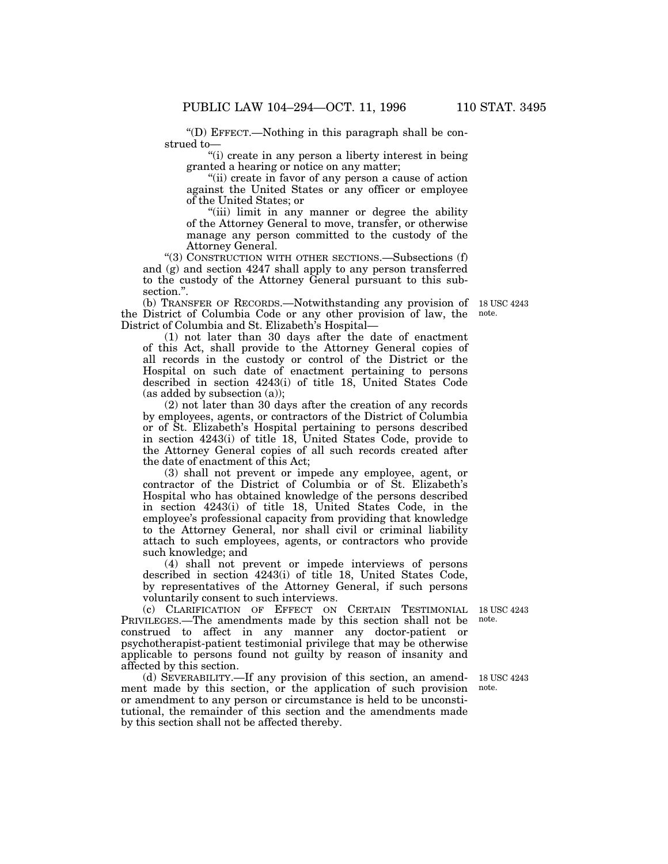''(D) EFFECT.—Nothing in this paragraph shall be construed to—

''(i) create in any person a liberty interest in being granted a hearing or notice on any matter;

"(ii) create in favor of any person a cause of action against the United States or any officer or employee of the United States; or

''(iii) limit in any manner or degree the ability of the Attorney General to move, transfer, or otherwise manage any person committed to the custody of the Attorney General.

''(3) CONSTRUCTION WITH OTHER SECTIONS.—Subsections (f) and (g) and section 4247 shall apply to any person transferred to the custody of the Attorney General pursuant to this subsection.''.

(b) TRANSFER OF RECORDS.—Notwithstanding any provision of 18 USC 4243 the District of Columbia Code or any other provision of law, the District of Columbia and St. Elizabeth's Hospital—

(1) not later than 30 days after the date of enactment of this Act, shall provide to the Attorney General copies of all records in the custody or control of the District or the Hospital on such date of enactment pertaining to persons described in section 4243(i) of title 18, United States Code (as added by subsection (a));

(2) not later than 30 days after the creation of any records by employees, agents, or contractors of the District of Columbia or of St. Elizabeth's Hospital pertaining to persons described in section 4243(i) of title 18, United States Code, provide to the Attorney General copies of all such records created after the date of enactment of this Act;

(3) shall not prevent or impede any employee, agent, or contractor of the District of Columbia or of St. Elizabeth's Hospital who has obtained knowledge of the persons described in section 4243(i) of title 18, United States Code, in the employee's professional capacity from providing that knowledge to the Attorney General, nor shall civil or criminal liability attach to such employees, agents, or contractors who provide such knowledge; and

(4) shall not prevent or impede interviews of persons described in section 4243(i) of title 18, United States Code, by representatives of the Attorney General, if such persons voluntarily consent to such interviews.

(c) CLARIFICATION OF EFFECT ON CERTAIN TESTIMONIAL PRIVILEGES.—The amendments made by this section shall not be construed to affect in any manner any doctor-patient or psychotherapist-patient testimonial privilege that may be otherwise applicable to persons found not guilty by reason of insanity and affected by this section.

(d) SEVERABILITY.—If any provision of this section, an amendment made by this section, or the application of such provision or amendment to any person or circumstance is held to be unconstitutional, the remainder of this section and the amendments made by this section shall not be affected thereby. 18 USC 4243 note.

18 USC 4243 note.

note.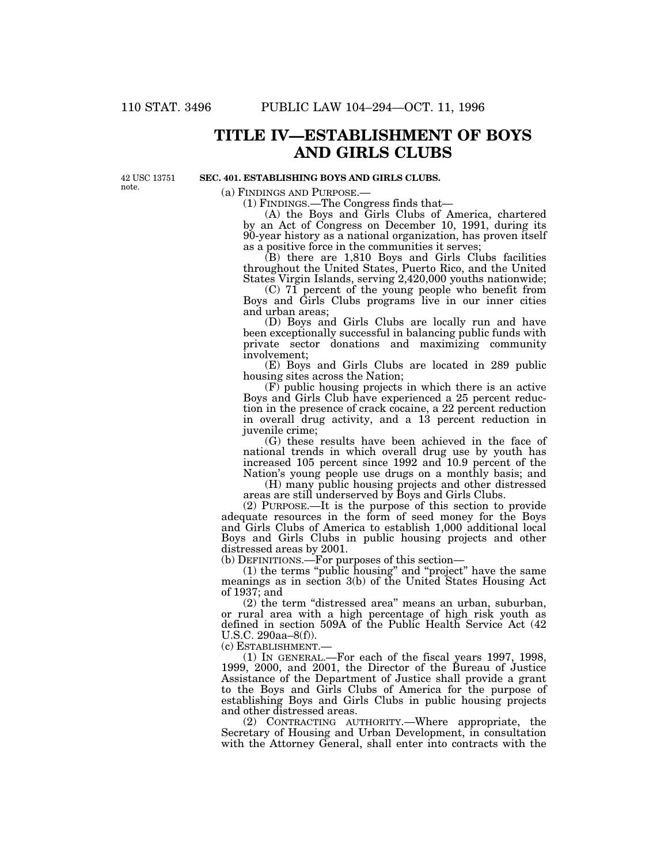### **TITLE IV—ESTABLISHMENT OF BOYS AND GIRLS CLUBS**

42 USC 13751 note.

### **SEC. 401. ESTABLISHING BOYS AND GIRLS CLUBS.**

(a) FINDINGS AND PURPOSE.— (1) FINDINGS.—The Congress finds that—

(A) the Boys and Girls Clubs of America, chartered by an Act of Congress on December 10, 1991, during its 90-year history as a national organization, has proven itself as a positive force in the communities it serves;

(B) there are 1,810 Boys and Girls Clubs facilities throughout the United States, Puerto Rico, and the United States Virgin Islands, serving 2,420,000 youths nationwide;

(C) 71 percent of the young people who benefit from Boys and Girls Clubs programs live in our inner cities and urban areas;

(D) Boys and Girls Clubs are locally run and have been exceptionally successful in balancing public funds with private sector donations and maximizing community involvement;

(E) Boys and Girls Clubs are located in 289 public housing sites across the Nation;

(F) public housing projects in which there is an active Boys and Girls Club have experienced a 25 percent reduction in the presence of crack cocaine, a 22 percent reduction in overall drug activity, and a 13 percent reduction in juvenile crime;

(G) these results have been achieved in the face of national trends in which overall drug use by youth has increased 105 percent since 1992 and 10.9 percent of the Nation's young people use drugs on a monthly basis; and

(H) many public housing projects and other distressed areas are still underserved by Boys and Girls Clubs.

(2) PURPOSE.—It is the purpose of this section to provide adequate resources in the form of seed money for the Boys and Girls Clubs of America to establish 1,000 additional local Boys and Girls Clubs in public housing projects and other distressed areas by 2001.

(b) DEFINITIONS.—For purposes of this section—

(1) the terms ''public housing'' and ''project'' have the same meanings as in section 3(b) of the United States Housing Act of 1937; and

(2) the term ''distressed area'' means an urban, suburban, or rural area with a high percentage of high risk youth as defined in section 509A of the Public Health Service Act (42 U.S.C. 290aa–8(f)).<br>(c) Establishment.

 $(1)$  In GENERAL.—For each of the fiscal years 1997, 1998, 1999, 2000, and 2001, the Director of the Bureau of Justice Assistance of the Department of Justice shall provide a grant to the Boys and Girls Clubs of America for the purpose of establishing Boys and Girls Clubs in public housing projects and other distressed areas.

(2) CONTRACTING AUTHORITY.—Where appropriate, the Secretary of Housing and Urban Development, in consultation with the Attorney General, shall enter into contracts with the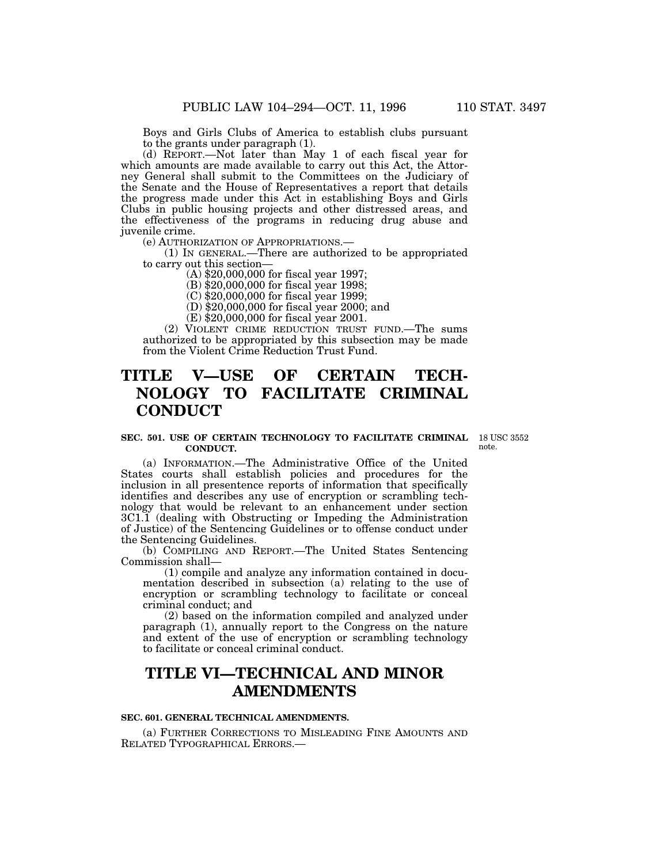Boys and Girls Clubs of America to establish clubs pursuant to the grants under paragraph (1).

(d) REPORT.—Not later than May 1 of each fiscal year for which amounts are made available to carry out this Act, the Attorney General shall submit to the Committees on the Judiciary of the Senate and the House of Representatives a report that details the progress made under this Act in establishing Boys and Girls Clubs in public housing projects and other distressed areas, and the effectiveness of the programs in reducing drug abuse and juvenile crime.

(e) AUTHORIZATION OF APPROPRIATIONS.—

(1) IN GENERAL.—There are authorized to be appropriated to carry out this section—

(A) \$20,000,000 for fiscal year 1997;

(B) \$20,000,000 for fiscal year 1998;

(C) \$20,000,000 for fiscal year 1999;

(D) \$20,000,000 for fiscal year 2000; and

(E) \$20,000,000 for fiscal year 2001.

(2) VIOLENT CRIME REDUCTION TRUST FUND.—The sums authorized to be appropriated by this subsection may be made from the Violent Crime Reduction Trust Fund.

## **TITLE V—USE OF CERTAIN TECH-NOLOGY TO FACILITATE CRIMINAL CONDUCT**

#### **SEC. 501. USE OF CERTAIN TECHNOLOGY TO FACILITATE CRIMINAL** 18 USC 3552 **CONDUCT.**

note.

(a) INFORMATION.—The Administrative Office of the United States courts shall establish policies and procedures for the inclusion in all presentence reports of information that specifically identifies and describes any use of encryption or scrambling technology that would be relevant to an enhancement under section 3C1.1 (dealing with Obstructing or Impeding the Administration of Justice) of the Sentencing Guidelines or to offense conduct under the Sentencing Guidelines.

(b) COMPILING AND REPORT.—The United States Sentencing Commission shall—

(1) compile and analyze any information contained in documentation described in subsection (a) relating to the use of encryption or scrambling technology to facilitate or conceal criminal conduct; and

(2) based on the information compiled and analyzed under paragraph (1), annually report to the Congress on the nature and extent of the use of encryption or scrambling technology to facilitate or conceal criminal conduct.

### **TITLE VI—TECHNICAL AND MINOR AMENDMENTS**

### **SEC. 601. GENERAL TECHNICAL AMENDMENTS.**

(a) FURTHER CORRECTIONS TO MISLEADING FINE AMOUNTS AND RELATED TYPOGRAPHICAL ERRORS.—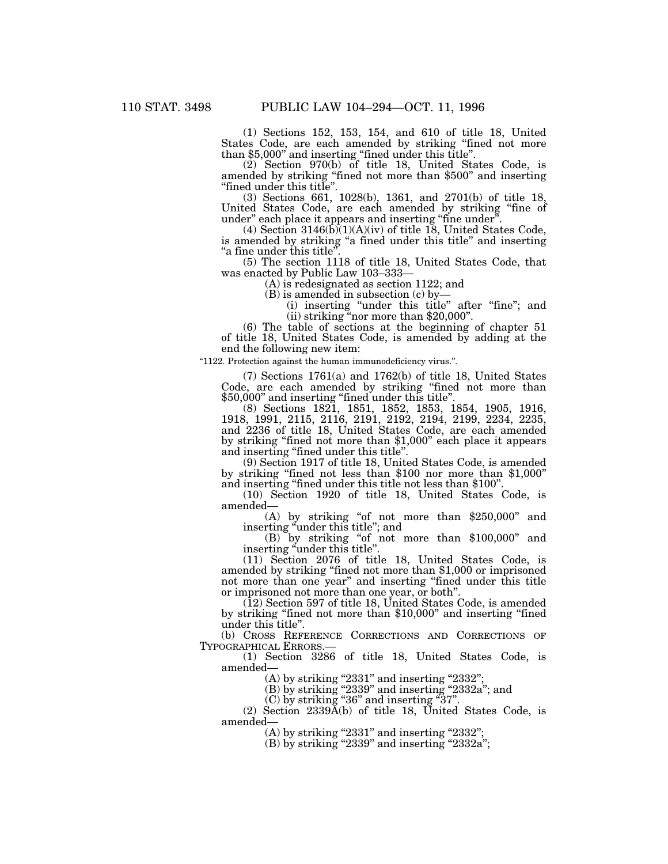(1) Sections 152, 153, 154, and 610 of title 18, United States Code, are each amended by striking ''fined not more than \$5,000'' and inserting ''fined under this title''.

(2) Section 970(b) of title 18, United States Code, is amended by striking ''fined not more than \$500'' and inserting ''fined under this title''.

(3) Sections 661, 1028(b), 1361, and 2701(b) of title 18, United States Code, are each amended by striking ''fine of under" each place it appears and inserting "fine under".

(4) Section  $3146(b)(1)(A)(iv)$  of title 18, United States Code, is amended by striking ''a fined under this title'' and inserting "a fine under this title"

(5) The section 1118 of title 18, United States Code, that was enacted by Public Law 103–333—

(A) is redesignated as section 1122; and

(B) is amended in subsection (c) by—

(i) inserting ''under this title'' after ''fine''; and (ii) striking ''nor more than \$20,000''.

(6) The table of sections at the beginning of chapter 51 of title 18, United States Code, is amended by adding at the end the following new item:

''1122. Protection against the human immunodeficiency virus.''.

(7) Sections 1761(a) and 1762(b) of title 18, United States Code, are each amended by striking ''fined not more than \$50,000'' and inserting ''fined under this title''.

(8) Sections 1821, 1851, 1852, 1853, 1854, 1905, 1916, 1918, 1991, 2115, 2116, 2191, 2192, 2194, 2199, 2234, 2235, and 2236 of title 18, United States Code, are each amended by striking ''fined not more than \$1,000'' each place it appears and inserting "fined under this title".<br>(9) Section 1917 of title 18, United States Code, is amended

by striking "fined not less than \$100 nor more than \$1,000" and inserting ''fined under this title not less than \$100''.

(10) Section 1920 of title 18, United States Code, is amended—

(A) by striking "of not more than \$250,000" and inserting "under this title"; and

 $(B)$  by striking "of not more than \$100,000" and

inserting "under this title".<br>(11) Section 2076 of title 18, United States Code, is (11) Section 2076 of title 18, United States Code, is amended by striking ''fined not more than \$1,000 or imprisoned not more than one year'' and inserting ''fined under this title or imprisoned not more than one year, or both''.

(12) Section 597 of title 18, United States Code, is amended by striking ''fined not more than \$10,000'' and inserting ''fined under this title''.

(b) CROSS REFERENCE CORRECTIONS AND CORRECTIONS OF TYPOGRAPHICAL ERRORS.—

 $(1)$  Section 3286 of title 18, United States Code, is amended—

(A) by striking "2331" and inserting "2332";

(B) by striking "2339" and inserting "2332a"; and

(C) by striking ''36'' and inserting ''37''.

(2) Section 2339A(b) of title 18, United States Code, is amended—

 $(A)$  by striking "2331" and inserting "2332";

 $(B)$  by striking "2339" and inserting "2332a";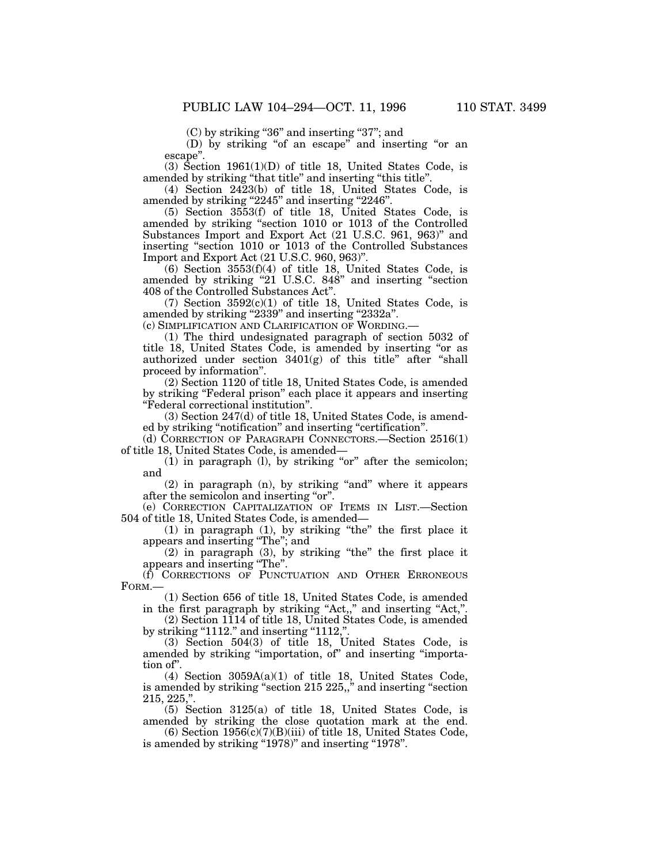(C) by striking "36" and inserting "37"; and

(D) by striking "of an escape" and inserting "or an escape''.

 $(3)$  Section 1961 $(1)(D)$  of title 18, United States Code, is amended by striking ''that title'' and inserting ''this title''.

(4) Section 2423(b) of title 18, United States Code, is amended by striking "2245" and inserting "2246".

(5) Section 3553(f) of title 18, United States Code, is amended by striking ''section 1010 or 1013 of the Controlled Substances Import and Export Act (21 U.S.C. 961, 963)'' and inserting ''section 1010 or 1013 of the Controlled Substances Import and Export Act (21 U.S.C. 960, 963)''.

(6) Section 3553(f)(4) of title 18, United States Code, is amended by striking "21 U.S.C. 848" and inserting "section 408 of the Controlled Substances Act''.

 $(7)$  Section  $3592(c)(1)$  of title 18, United States Code, is amended by striking "2339" and inserting "2332a".

(c) SIMPLIFICATION AND CLARIFICATION OF WORDING.—

(1) The third undesignated paragraph of section 5032 of title 18, United States Code, is amended by inserting "or as authorized under section  $3401(g)$  of this title" after "shall proceed by information''.

(2) Section 1120 of title 18, United States Code, is amended by striking ''Federal prison'' each place it appears and inserting ''Federal correctional institution''.

(3) Section 247(d) of title 18, United States Code, is amended by striking "notification" and inserting "certification".

(d) CORRECTION OF PARAGRAPH CONNECTORS.—Section 2516(1) of title 18, United States Code, is amended—

 $(1)$  in paragraph  $(1)$ , by striking "or" after the semicolon; and

 $(2)$  in paragraph  $(n)$ , by striking "and" where it appears after the semicolon and inserting "or".

(e) CORRECTION CAPITALIZATION OF ITEMS IN LIST.—Section 504 of title 18, United States Code, is amended—

 $(1)$  in paragraph  $(1)$ , by striking "the" the first place it appears and inserting ''The''; and

(2) in paragraph (3), by striking ''the'' the first place it appears and inserting ''The''.

(f) CORRECTIONS OF PUNCTUATION AND OTHER ERRONEOUS FORM.—

(1) Section 656 of title 18, United States Code, is amended in the first paragraph by striking "Act,," and inserting "Act,".

(2) Section 1114 of title 18, United States Code, is amended by striking " $1112$ ." and inserting " $1112$ ,".

(3) Section 504(3) of title 18, United States Code, is amended by striking "importation, of" and inserting "importation of''.

(4) Section 3059A(a)(1) of title 18, United States Code, is amended by striking ''section 215 225,,'' and inserting ''section 215, 225,''.

(5) Section 3125(a) of title 18, United States Code, is amended by striking the close quotation mark at the end.

(6) Section  $1956(c)(7)(B)(iii)$  of title 18, United States Code, is amended by striking "1978)" and inserting "1978".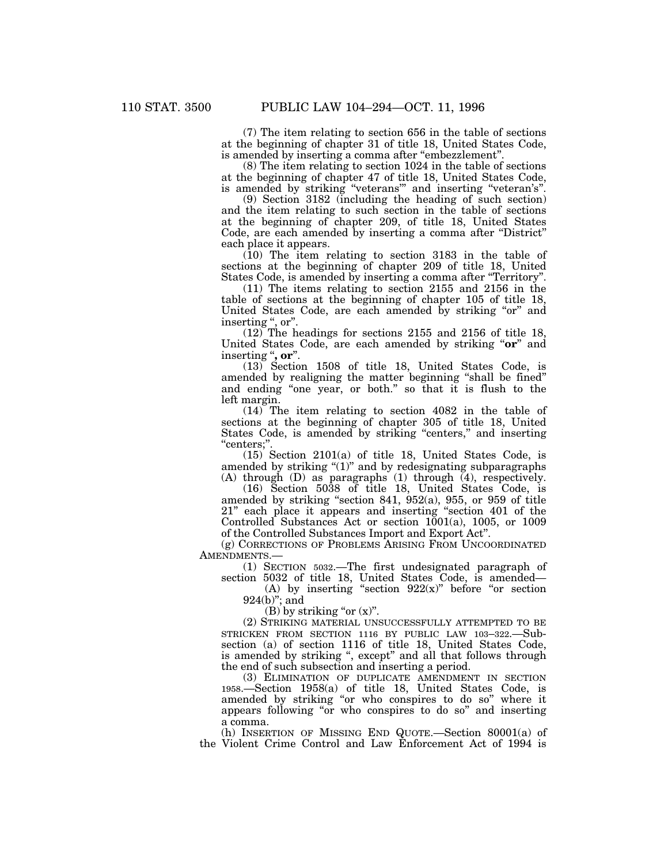(7) The item relating to section 656 in the table of sections at the beginning of chapter 31 of title 18, United States Code, is amended by inserting a comma after "embezzlement".

(8) The item relating to section 1024 in the table of sections at the beginning of chapter 47 of title 18, United States Code, is amended by striking "veterans" and inserting "veteran's"

(9) Section 3182 (including the heading of such section) and the item relating to such section in the table of sections at the beginning of chapter 209, of title 18, United States Code, are each amended by inserting a comma after "District" each place it appears.

(10) The item relating to section 3183 in the table of sections at the beginning of chapter 209 of title 18, United States Code, is amended by inserting a comma after ''Territory''.

(11) The items relating to section 2155 and 2156 in the table of sections at the beginning of chapter 105 of title 18, United States Code, are each amended by striking "or" and inserting ", or".

(12) The headings for sections 2155 and 2156 of title 18, United States Code, are each amended by striking "**or**" and inserting ''**, or**''.

(13) Section 1508 of title 18, United States Code, is amended by realigning the matter beginning ''shall be fined'' and ending "one year, or both." so that it is flush to the left margin.

(14) The item relating to section 4082 in the table of sections at the beginning of chapter 305 of title 18, United States Code, is amended by striking "centers," and inserting ''centers;''.

(15) Section 2101(a) of title 18, United States Code, is amended by striking " $(1)$ " and by redesignating subparagraphs (A) through (D) as paragraphs (1) through (4), respectively.

(16) Section 5038 of title 18, United States Code, is amended by striking ''section 841, 952(a), 955, or 959 of title 21'' each place it appears and inserting ''section 401 of the Controlled Substances Act or section 1001(a), 1005, or 1009 of the Controlled Substances Import and Export Act''.

(g) CORRECTIONS OF PROBLEMS ARISING FROM UNCOORDINATED AMENDMENTS.—

(1) SECTION 5032.—The first undesignated paragraph of section 5032 of title 18, United States Code, is amended— (A) by inserting "section  $922(x)$ " before "or section

924(b)"; and

(B) by striking "or  $(x)$ ".

(2) STRIKING MATERIAL UNSUCCESSFULLY ATTEMPTED TO BE STRICKEN FROM SECTION 1116 BY PUBLIC LAW 103–322.—Subsection (a) of section 1116 of title 18, United States Code, is amended by striking ", except" and all that follows through the end of such subsection and inserting a period.

(3) ELIMINATION OF DUPLICATE AMENDMENT IN SECTION 1958.—Section 1958(a) of title 18, United States Code, is amended by striking "or who conspires to do so" where it appears following ''or who conspires to do so'' and inserting a comma.

(h) INSERTION OF MISSING END QUOTE.—Section 80001(a) of the Violent Crime Control and Law Enforcement Act of 1994 is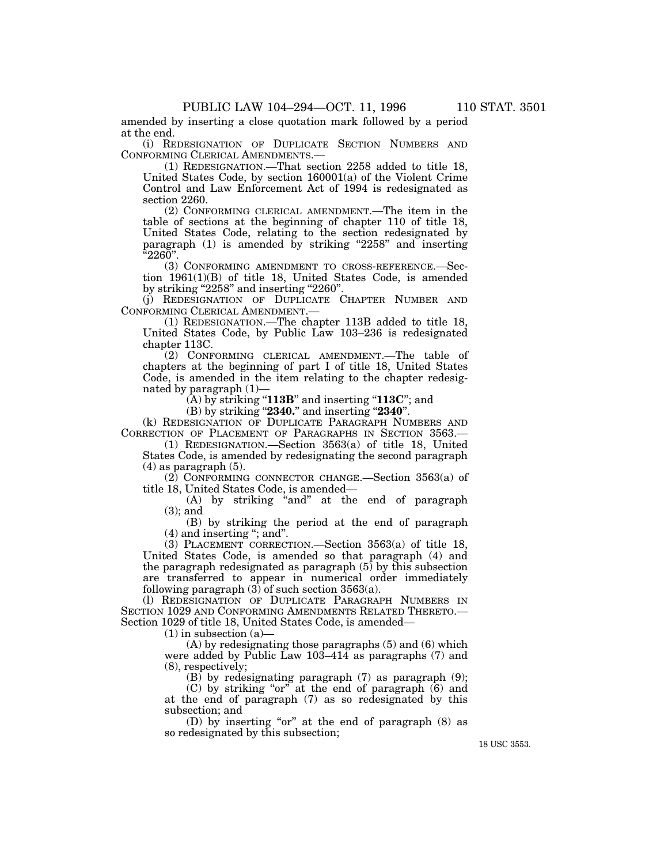amended by inserting a close quotation mark followed by a period at the end.

(i) REDESIGNATION OF DUPLICATE SECTION NUMBERS AND CONFORMING CLERICAL AMENDMENTS.—

(1) REDESIGNATION.—That section 2258 added to title 18, United States Code, by section 160001(a) of the Violent Crime Control and Law Enforcement Act of 1994 is redesignated as section 2260.

(2) CONFORMING CLERICAL AMENDMENT.—The item in the table of sections at the beginning of chapter 110 of title 18, United States Code, relating to the section redesignated by paragraph  $(1)$  is amended by striking "2258" and inserting ''2260''.

(3) CONFORMING AMENDMENT TO CROSS-REFERENCE.—Section 1961(1)(B) of title 18, United States Code, is amended by striking "2258" and inserting "2260".

(j) REDESIGNATION OF DUPLICATE CHAPTER NUMBER AND CONFORMING CLERICAL AMENDMENT.—

(1) REDESIGNATION.—The chapter 113B added to title 18, United States Code, by Public Law 103–236 is redesignated chapter 113C.

(2) CONFORMING CLERICAL AMENDMENT.—The table of chapters at the beginning of part I of title 18, United States Code, is amended in the item relating to the chapter redesignated by paragraph (1)—

 $(\mathbf{\hat{A}})$  by striking "**113B**" and inserting "**113C**"; and

(B) by striking ''**2340.**'' and inserting ''**2340**''.

(k) REDESIGNATION OF DUPLICATE PARAGRAPH NUMBERS AND CORRECTION OF PLACEMENT OF PARAGRAPHS IN SECTION 3563.—

(1) REDESIGNATION.—Section 3563(a) of title 18, United States Code, is amended by redesignating the second paragraph  $(4)$  as paragraph  $(5)$ .

(2) CONFORMING CONNECTOR CHANGE.—Section 3563(a) of title 18, United States Code, is amended—

(A) by striking "and" at the end of paragraph (3); and

(B) by striking the period at the end of paragraph (4) and inserting ''; and''.

(3) PLACEMENT CORRECTION.—Section 3563(a) of title 18, United States Code, is amended so that paragraph (4) and the paragraph redesignated as paragraph  $(5)$  by this subsection are transferred to appear in numerical order immediately following paragraph  $(3)$  of such section  $3563(a)$ .

(l) REDESIGNATION OF DUPLICATE PARAGRAPH NUMBERS IN SECTION 1029 AND CONFORMING AMENDMENTS RELATED THERETO.— Section 1029 of title 18, United States Code, is amended—

 $(1)$  in subsection  $(a)$ 

(A) by redesignating those paragraphs (5) and (6) which were added by Public Law 103–414 as paragraphs (7) and (8), respectively;

 $(B)$  by redesignating paragraph  $(7)$  as paragraph  $(9)$ ;

 $(C)$  by striking "or" at the end of paragraph  $(6)$  and at the end of paragraph (7) as so redesignated by this subsection; and

(D) by inserting "or" at the end of paragraph  $(8)$  as so redesignated by this subsection;

18 USC 3553.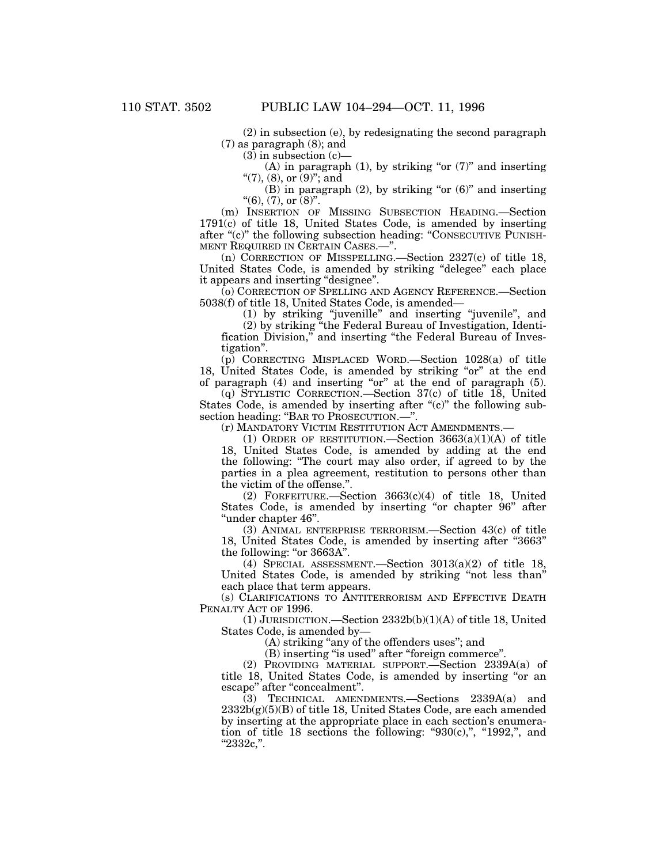(2) in subsection (e), by redesignating the second paragraph (7) as paragraph (8); and

 $(3)$  in subsection  $(c)$ 

(A) in paragraph (1), by striking "or  $(7)$ " and inserting "(7), (8), or  $(9)$ "; and

(B) in paragraph  $(2)$ , by striking "or  $(6)$ " and inserting  $"$ (6), (7), or (8)".

(m) INSERTION OF MISSING SUBSECTION HEADING.—Section  $1791(c)$  of title 18, United States Code, is amended by inserting after "(c)" the following subsection heading: "CONSECUTIVE PUNISH-MENT REQUIRED IN CERTAIN CASES.—''.

(n) CORRECTION OF MISSPELLING.—Section 2327(c) of title 18, United States Code, is amended by striking ''delegee'' each place it appears and inserting ''designee''.

(o) CORRECTION OF SPELLING AND AGENCY REFERENCE.—Section 5038(f) of title 18, United States Code, is amended—

(1) by striking ''juvenille'' and inserting ''juvenile'', and

(2) by striking ''the Federal Bureau of Investigation, Identification Division," and inserting "the Federal Bureau of Investigation''.

(p) CORRECTING MISPLACED WORD.—Section 1028(a) of title 18, United States Code, is amended by striking "or" at the end of paragraph  $(4)$  and inserting "or" at the end of paragraph  $(5)$ .

(q) STYLISTIC CORRECTION.—Section 37(c) of title 18, United States Code, is amended by inserting after " $(c)$ " the following subsection heading: "BAR TO PROSECUTION.—".

(r) MANDATORY VICTIM RESTITUTION ACT AMENDMENTS.—

(1) ORDER OF RESTITUTION.—Section  $3663(a)(1)(A)$  of title 18, United States Code, is amended by adding at the end the following: ''The court may also order, if agreed to by the parties in a plea agreement, restitution to persons other than the victim of the offense.''.

(2) FORFEITURE.—Section 3663(c)(4) of title 18, United States Code, is amended by inserting "or chapter 96" after ''under chapter 46''.

(3) ANIMAL ENTERPRISE TERRORISM.—Section 43(c) of title 18, United States Code, is amended by inserting after "3663" the following: "or 3663A".

(4) SPECIAL ASSESSMENT.—Section 3013(a)(2) of title 18, United States Code, is amended by striking ''not less than'' each place that term appears.

(s) CLARIFICATIONS TO ANTITERRORISM AND EFFECTIVE DEATH PENALTY ACT OF 1996.

(1) JURISDICTION.—Section 2332b(b)(1)(A) of title 18, United States Code, is amended by—

(A) striking ''any of the offenders uses''; and

(B) inserting ''is used'' after ''foreign commerce''.

(2) PROVIDING MATERIAL SUPPORT.—Section 2339A(a) of title 18, United States Code, is amended by inserting ''or an escape" after "concealment".

(3) TECHNICAL AMENDMENTS.—Sections 2339A(a) and  $2332b(g)(5)(B)$  of title 18, United States Code, are each amended by inserting at the appropriate place in each section's enumeration of title 18 sections the following: " $930(c)$ ,", " $1992$ ,", and  $"2332c,"$ .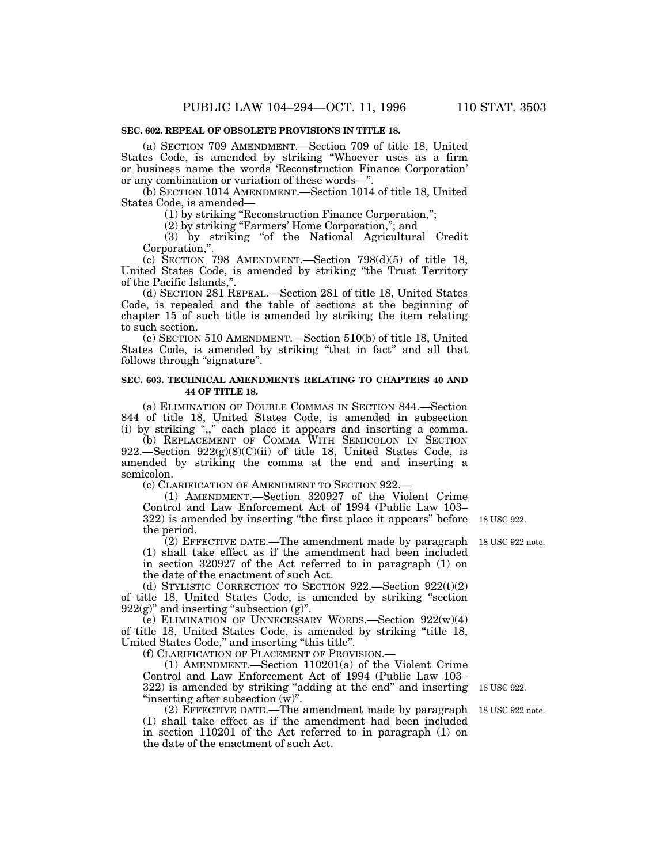### **SEC. 602. REPEAL OF OBSOLETE PROVISIONS IN TITLE 18.**

(a) SECTION 709 AMENDMENT.—Section 709 of title 18, United States Code, is amended by striking ''Whoever uses as a firm or business name the words 'Reconstruction Finance Corporation' or any combination or variation of these words—''.

(b) SECTION 1014 AMENDMENT.—Section 1014 of title 18, United States Code, is amended—

(1) by striking ''Reconstruction Finance Corporation,'';

(2) by striking ''Farmers' Home Corporation,''; and

(3) by striking ''of the National Agricultural Credit Corporation,''.

(c) SECTION 798 AMENDMENT.—Section  $798(d)(5)$  of title 18, United States Code, is amended by striking ''the Trust Territory of the Pacific Islands,

(d) SECTION 281 REPEAL.—Section 281 of title 18, United States Code, is repealed and the table of sections at the beginning of chapter 15 of such title is amended by striking the item relating to such section.

(e) SECTION 510 AMENDMENT.—Section 510(b) of title 18, United States Code, is amended by striking ''that in fact'' and all that follows through "signature".

### **SEC. 603. TECHNICAL AMENDMENTS RELATING TO CHAPTERS 40 AND 44 OF TITLE 18.**

(a) ELIMINATION OF DOUBLE COMMAS IN SECTION 844.—Section 844 of title 18, United States Code, is amended in subsection (i) by striking ",," each place it appears and inserting a comma.

(b) REPLACEMENT OF COMMA WITH SEMICOLON IN SECTION 922.—Section  $922(g)(8)(C)(ii)$  of title 18, United States Code, is amended by striking the comma at the end and inserting a semicolon.

(c) CLARIFICATION OF AMENDMENT TO SECTION 922.—

(1) AMENDMENT.—Section 320927 of the Violent Crime Control and Law Enforcement Act of 1994 (Public Law 103– 322) is amended by inserting ''the first place it appears'' before 18 USC 922.the period.

(2) EFFECTIVE DATE.—The amendment made by paragraph (1) shall take effect as if the amendment had been included in section 320927 of the Act referred to in paragraph (1) on the date of the enactment of such Act.

(d) STYLISTIC CORRECTION TO SECTION  $922$ . Section  $922(t)(2)$ of title 18, United States Code, is amended by striking ''section  $922(g)$ " and inserting "subsection  $(g)$ ".

(e) ELIMINATION OF UNNECESSARY WORDS.—Section 922(w)(4) of title 18, United States Code, is amended by striking ''title 18, United States Code,'' and inserting ''this title''.

(f) CLARIFICATION OF PLACEMENT OF PROVISION.—

(1) AMENDMENT.—Section 110201(a) of the Violent Crime Control and Law Enforcement Act of 1994 (Public Law 103– 322) is amended by striking "adding at the end" and inserting 18 USC 922. ''inserting after subsection (w)''.

(2) EFFECTIVE DATE.—The amendment made by paragraph 18 USC 922 note. (1) shall take effect as if the amendment had been included in section 110201 of the Act referred to in paragraph (1) on the date of the enactment of such Act.

18 USC 922 note.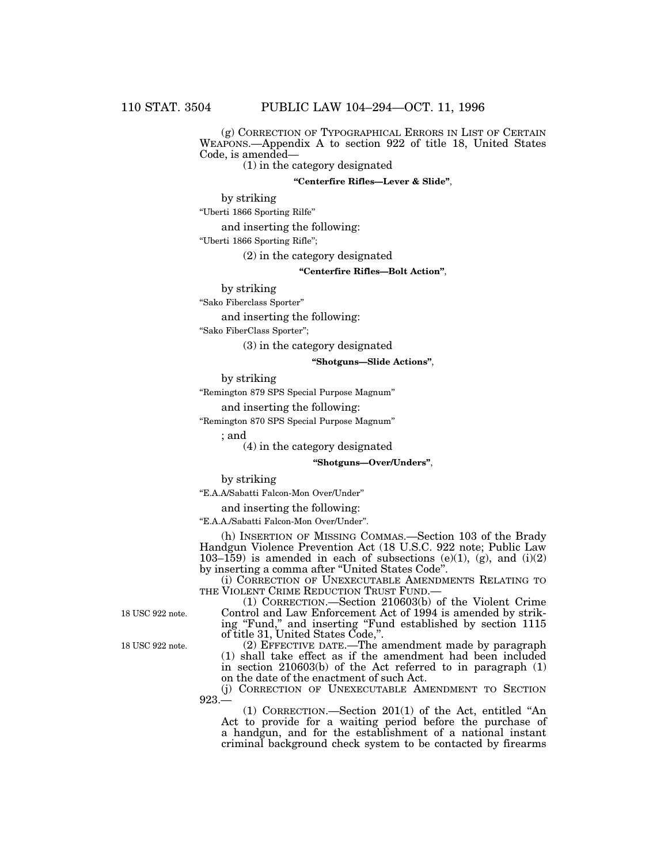(g) CORRECTION OF TYPOGRAPHICAL ERRORS IN LIST OF CERTAIN WEAPONS.—Appendix A to section 922 of title 18, United States Code, is amended—

(1) in the category designated

#### **''Centerfire Rifles—Lever & Slide''**,

by striking

''Uberti 1866 Sporting Rilfe''

and inserting the following:

''Uberti 1866 Sporting Rifle'';

(2) in the category designated

### **''Centerfire Rifles—Bolt Action''**,

by striking

''Sako Fiberclass Sporter''

and inserting the following:

''Sako FiberClass Sporter'';

(3) in the category designated

#### **''Shotguns—Slide Actions''**,

by striking

''Remington 879 SPS Special Purpose Magnum''

and inserting the following:

''Remington 870 SPS Special Purpose Magnum''

; and

(4) in the category designated

### **''Shotguns—Over/Unders''**,

by striking

''E.A.A/Sabatti Falcon-Mon Over/Under''

and inserting the following:

''E.A.A./Sabatti Falcon-Mon Over/Under''.

(h) INSERTION OF MISSING COMMAS.—Section 103 of the Brady Handgun Violence Prevention Act (18 U.S.C. 922 note; Public Law 103–159) is amended in each of subsections (e)(1), (g), and (i)(2) by inserting a comma after ''United States Code''.

(i) CORRECTION OF UNEXECUTABLE AMENDMENTS RELATING TO THE VIOLENT CRIME REDUCTION TRUST FUND.-

(1) CORRECTION.—Section 210603(b) of the Violent Crime Control and Law Enforcement Act of 1994 is amended by striking ''Fund,'' and inserting ''Fund established by section 1115 of title 31, United States Code,''.

(2) EFFECTIVE DATE.—The amendment made by paragraph (1) shall take effect as if the amendment had been included in section 210603(b) of the Act referred to in paragraph (1) on the date of the enactment of such Act.

(j) CORRECTION OF UNEXECUTABLE AMENDMENT TO SECTION 923.—

(1) CORRECTION.—Section 201(1) of the Act, entitled ''An Act to provide for a waiting period before the purchase of a handgun, and for the establishment of a national instant criminal background check system to be contacted by firearms

18 USC 922 note.

18 USC 922 note.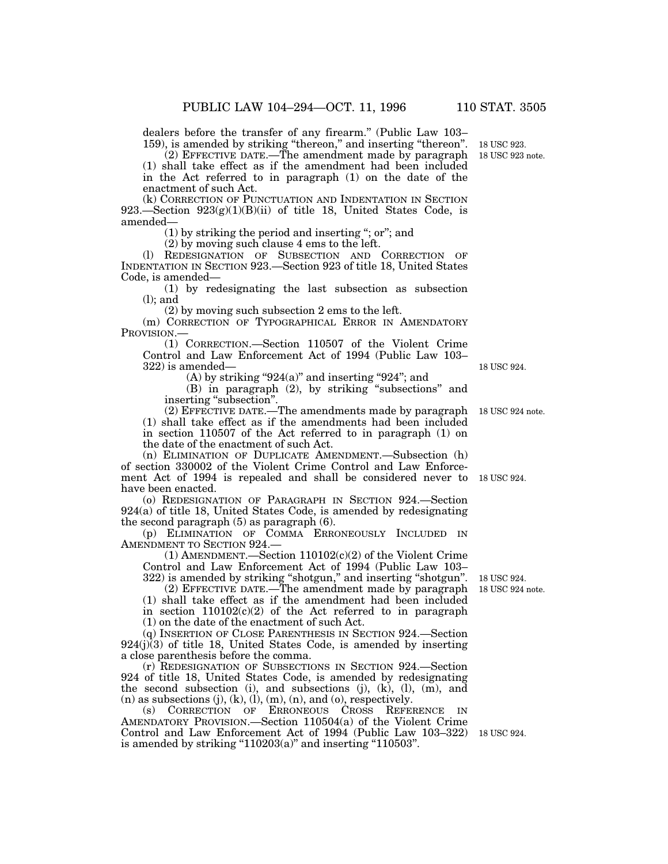dealers before the transfer of any firearm.'' (Public Law 103– 159), is amended by striking "thereon," and inserting "thereon".

(2) EFFECTIVE DATE.—The amendment made by paragraph (1) shall take effect as if the amendment had been included in the Act referred to in paragraph (1) on the date of the enactment of such Act.

(k) CORRECTION OF PUNCTUATION AND INDENTATION IN SECTION 923.—Section 923(g)(1)(B)(ii) of title 18, United States Code, is amended—

(1) by striking the period and inserting ''; or''; and

(2) by moving such clause 4 ems to the left.

(l) REDESIGNATION OF SUBSECTION AND CORRECTION OF INDENTATION IN SECTION 923.—Section 923 of title 18, United States Code, is amended—

(1) by redesignating the last subsection as subsection (l); and

(2) by moving such subsection 2 ems to the left.

(m) CORRECTION OF TYPOGRAPHICAL ERROR IN AMENDATORY PROVISION.

(1) CORRECTION.—Section 110507 of the Violent Crime Control and Law Enforcement Act of 1994 (Public Law 103– 322) is amended—

 $(A)$  by striking "924 $(a)$ " and inserting "924"; and

(B) in paragraph (2), by striking ''subsections'' and inserting ''subsection''.

(2) EFFECTIVE DATE.—The amendments made by paragraph (1) shall take effect as if the amendments had been included in section 110507 of the Act referred to in paragraph (1) on the date of the enactment of such Act.

(n) ELIMINATION OF DUPLICATE AMENDMENT.—Subsection (h) of section 330002 of the Violent Crime Control and Law Enforcement Act of 1994 is repealed and shall be considered never to 18 USC 924. have been enacted.

(o) REDESIGNATION OF PARAGRAPH IN SECTION 924.—Section 924(a) of title 18, United States Code, is amended by redesignating the second paragraph (5) as paragraph (6).

(p) ELIMINATION OF COMMA ERRONEOUSLY INCLUDED IN AMENDMENT TO SECTION 924.—

 $(1)$  AMENDMENT.—Section  $110102(c)(2)$  of the Violent Crime Control and Law Enforcement Act of 1994 (Public Law 103– 322) is amended by striking ''shotgun,'' and inserting ''shotgun''.

(2) EFFECTIVE DATE.—The amendment made by paragraph 18 USC 924 note.

(1) shall take effect as if the amendment had been included

in section 110102(c)(2) of the Act referred to in paragraph

(1) on the date of the enactment of such Act.

(q) INSERTION OF CLOSE PARENTHESIS IN SECTION 924.—Section 924(j)(3) of title 18, United States Code, is amended by inserting a close parenthesis before the comma.

(r) REDESIGNATION OF SUBSECTIONS IN SECTION 924.—Section 924 of title 18, United States Code, is amended by redesignating the second subsection (i), and subsections (j),  $(k)$ ,  $(l)$ ,  $(m)$ , and  $(n)$  as subsections  $(j)$ ,  $(k)$ ,  $(l)$ ,  $(m)$ ,  $(n)$ , and  $(o)$ , respectively.

(s) CORRECTION OF ERRONEOUS CROSS REFERENCE IN AMENDATORY PROVISION.—Section 110504(a) of the Violent Crime Control and Law Enforcement Act of 1994 (Public Law 103–322) 18 USC 924. is amended by striking " $110203(a)$ " and inserting " $110503$ ".

18 USC 924.

18 USC 924.

18 USC 924 note.

18 USC 923 note. 18 USC 923.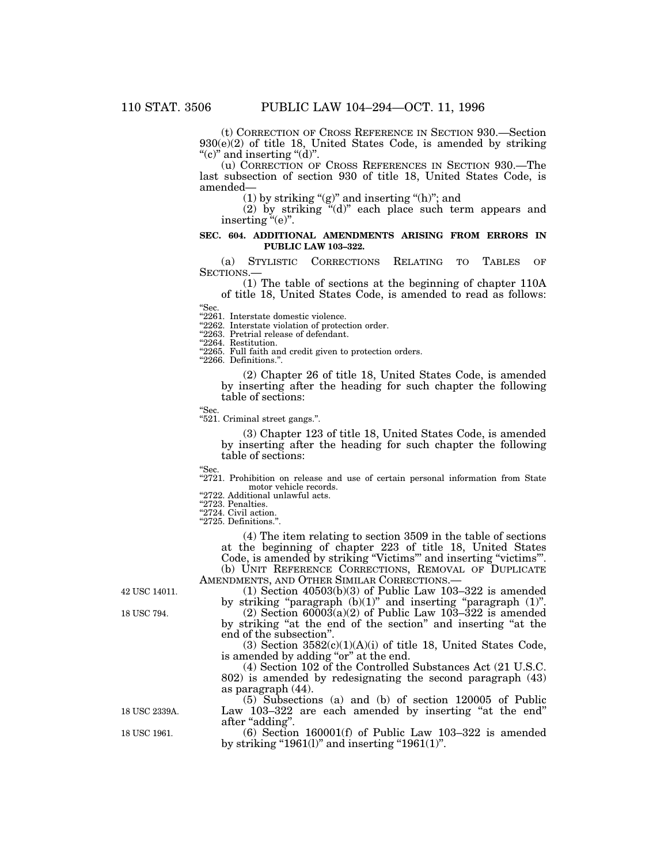(t) CORRECTION OF CROSS REFERENCE IN SECTION 930.—Section 930(e)(2) of title 18, United States Code, is amended by striking "(c)" and inserting " $(d)$ ".

(u) CORRECTION OF CROSS REFERENCES IN SECTION 930.—The last subsection of section 930 of title 18, United States Code, is amended—

 $(1)$  by striking " $(g)$ " and inserting " $(h)$ "; and

(2) by striking ''(d)'' each place such term appears and inserting "(e)".

### **SEC. 604. ADDITIONAL AMENDMENTS ARISING FROM ERRORS IN PUBLIC LAW 103–322.**

(a) STYLISTIC CORRECTIONS RELATING TO TABLES OF SECTIONS.—

(1) The table of sections at the beginning of chapter 110A of title 18, United States Code, is amended to read as follows:

''Sec.

"2261. Interstate domestic violence.

"2262. Interstate violation of protection order.

"2263. Pretrial release of defendant.

''2264. Restitution.

"2265. Full faith and credit given to protection orders.

''2266. Definitions.''.

(2) Chapter 26 of title 18, United States Code, is amended by inserting after the heading for such chapter the following table of sections:

''Sec.

''521. Criminal street gangs.''.

(3) Chapter 123 of title 18, United States Code, is amended by inserting after the heading for such chapter the following table of sections:

''Sec.

"2721. Prohibition on release and use of certain personal information from State motor vehicle records. "2722. Additional unlawful acts.

"2723. Penalties.

''2724. Civil action.

''2725. Definitions.''.

(4) The item relating to section 3509 in the table of sections at the beginning of chapter 223 of title 18, United States Code, is amended by striking "Victims"' and inserting "victims"'. (b) UNIT REFERENCE CORRECTIONS, REMOVAL OF DUPLICATE AMENDMENTS, AND OTHER SIMILAR CORRECTIONS.—

42 USC 14011.

18 USC 794.

by striking "paragraph (b)(1)" and inserting "paragraph (1)".  $(2)$  Section  $6000\overline{3}$ (a)(2) of Public Law 103–322 is amended by striking "at the end of the section" and inserting "at the end of the subsection''.

 $(1)$  Section  $40503(b)(3)$  of Public Law 103–322 is amended

(3) Section  $3582(c)(1)(A)(i)$  of title 18, United States Code, is amended by adding ''or'' at the end.

(4) Section 102 of the Controlled Substances Act (21 U.S.C. 802) is amended by redesignating the second paragraph (43) as paragraph (44).

(5) Subsections (a) and (b) of section 120005 of Public Law 103–322 are each amended by inserting "at the end" after "adding".

(6) Section 160001(f) of Public Law 103–322 is amended by striking "1961(1)" and inserting "1961(1)".

18 USC 2339A.

18 USC 1961.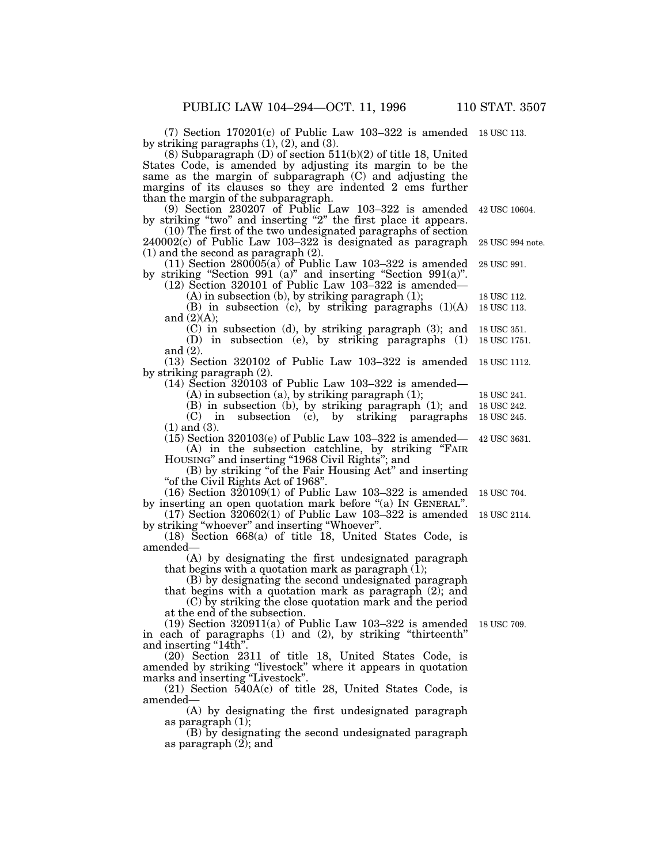(7) Section 170201(c) of Public Law 103–322 is amended 18 USC 113.by striking paragraphs  $(1)$ ,  $(2)$ , and  $(3)$ .

(8) Subparagraph (D) of section 511(b)(2) of title 18, United States Code, is amended by adjusting its margin to be the same as the margin of subparagraph (C) and adjusting the margins of its clauses so they are indented 2 ems further than the margin of the subparagraph.

(9) Section 230207 of Public Law 103–322 is amended by striking "two" and inserting "2" the first place it appears. 42 USC 10604.

(10) The first of the two undesignated paragraphs of section 240002(c) of Public Law 103–322 is designated as paragraph (1) and the second as paragraph (2). 28 USC 994 note.

 $(11)$  Section 280005(a) of Public Law 103-322 is amended by striking "Section 991 (a)" and inserting "Section 991(a)". 28 USC 991.

 $(12)$  Section 320101 of Public Law 103–322 is amended— (A) in subsection (b), by striking paragraph (1);

(B) in subsection (c), by striking paragraphs  $(1)(A)$ and (2)(A); 18 USC 113. 18 USC 112.

- (C) in subsection (d), by striking paragraph (3); and 18 USC 351.
- (D) in subsection (e), by striking paragraphs (1) and (2). 18 USC 1751.

(13) Section 320102 of Public Law 103–322 is amended 18 USC 1112. by striking paragraph (2).

 $(14)$  Section 320103 of Public Law 103–322 is amended—

(A) in subsection (a), by striking paragraph (1);

(B) in subsection (b), by striking paragraph (1); and (C) in subsection (c), by striking paragraphs (1) and (3).

(15) Section 320103(e) of Public Law 103–322 is amended— (A) in the subsection catchline, by striking ''FAIR

HOUSING'' and inserting ''1968 Civil Rights''; and

(B) by striking ''of the Fair Housing Act'' and inserting ''of the Civil Rights Act of 1968''.

(16) Section 320109(1) of Public Law 103–322 is amended by inserting an open quotation mark before "(a) IN GENERAL" 18 USC 704.

 $(17)$  Section  $\overline{3}20602(1)$  of Public Law 103–322 is amended by striking ''whoever'' and inserting ''Whoever''.

(18) Section 668(a) of title 18, United States Code, is amended—

(A) by designating the first undesignated paragraph that begins with a quotation mark as paragraph  $(1)$ ;

(B) by designating the second undesignated paragraph that begins with a quotation mark as paragraph (2); and

(C) by striking the close quotation mark and the period at the end of the subsection.

 $(19)$  Section 320911(a) of Public Law 103–322 is amended in each of paragraphs (1) and (2), by striking ''thirteenth'' and inserting "14th". 18 USC 709.

(20) Section 2311 of title 18, United States Code, is amended by striking ''livestock'' where it appears in quotation marks and inserting ''Livestock''.

(21) Section 540A(c) of title 28, United States Code, is amended—

(A) by designating the first undesignated paragraph as paragraph (1);

(B) by designating the second undesignated paragraph as paragraph  $(2)$ ; and

18 USC 2114.

42 USC 3631.

18 USC 245. 18 USC 242. 18 USC 241.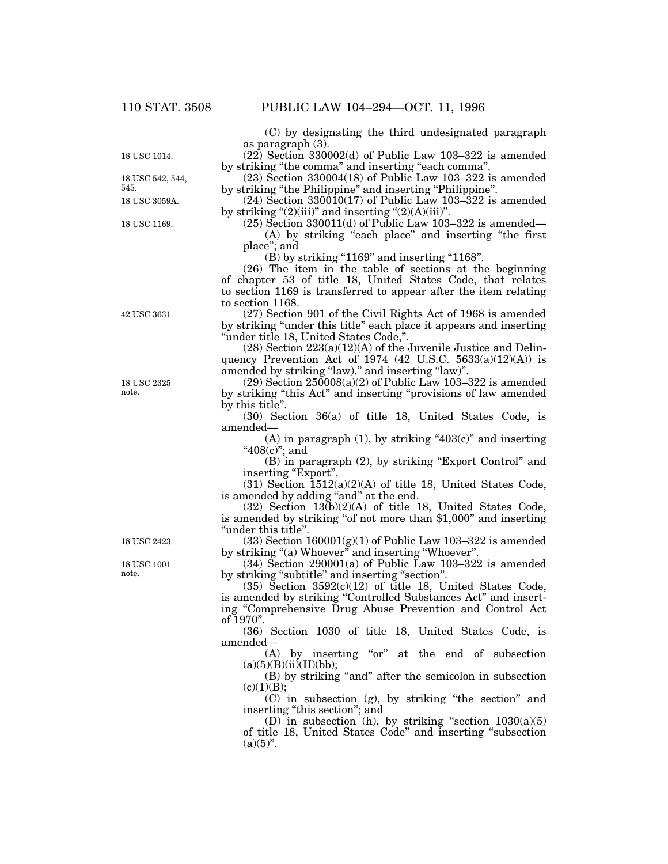18 USC 1014.

18 USC 3059A. 18 USC 542, 544, 545.

18 USC 1169.

42 USC 3631.

18 USC 2325 note.

18 USC 2423.

18 USC 1001 note.

(C) by designating the third undesignated paragraph as paragraph (3).

 $(22)$  Section 330002(d) of Public Law 103–322 is amended by striking "the comma" and inserting "each comma".

(23) Section 330004(18) of Public Law 103–322 is amended by striking "the Philippine" and inserting "Philippine".

(24) Section 330010(17) of Public Law 103–322 is amended by striking " $(2)(iii)$ " and inserting " $(2)(A)(iii)$ ".

 $(25)$  Section 330011(d) of Public Law 103–322 is amended— (A) by striking "each place" and inserting "the first place''; and

 $(B)$  by striking "1169" and inserting "1168".

(26) The item in the table of sections at the beginning of chapter 53 of title 18, United States Code, that relates to section 1169 is transferred to appear after the item relating to section 1168.

(27) Section 901 of the Civil Rights Act of 1968 is amended by striking ''under this title'' each place it appears and inserting ''under title 18, United States Code,''.

 $(28)$  Section  $223(a)(12)(A)$  of the Juvenile Justice and Delinquency Prevention Act of 1974 (42 U.S.C.  $5633(a)(12)(A)$ ) is amended by striking "law)." and inserting "law)".

 $(29)$  Section  $250008(a)(2)$  of Public Law 103–322 is amended by striking ''this Act'' and inserting ''provisions of law amended by this title''.

(30) Section 36(a) of title 18, United States Code, is amended—

(A) in paragraph (1), by striking " $403(c)$ " and inserting "408(c)"; and

(B) in paragraph (2), by striking ''Export Control'' and inserting "Export".

(31) Section 1512(a)(2)(A) of title 18, United States Code, is amended by adding "and" at the end.

(32) Section 13(b)(2)(A) of title 18, United States Code, is amended by striking "of not more than \$1,000" and inserting ''under this title''.

 $(33)$  Section  $160001(g)(1)$  of Public Law  $103-322$  is amended by striking ''(a) Whoever'' and inserting ''Whoever''.

(34) Section 290001(a) of Public Law 103–322 is amended by striking "subtitle" and inserting "section".

 $(35)$  Section  $3592(c)(12)$  of title 18, United States Code, is amended by striking "Controlled Substances Act" and inserting ''Comprehensive Drug Abuse Prevention and Control Act of 1970''.

(36) Section 1030 of title 18, United States Code, is amended—

 $(A)$  by inserting "or" at the end of subsection  $(a)(5)(B)(ii)(II)(bb);$ 

(B) by striking ''and'' after the semicolon in subsection  $(c)(1)(B);$ 

(C) in subsection (g), by striking ''the section'' and inserting "this section"; and

(D) in subsection (h), by striking "section  $1030(a)(5)$ of title 18, United States Code'' and inserting ''subsection  $(a)(5)$ ".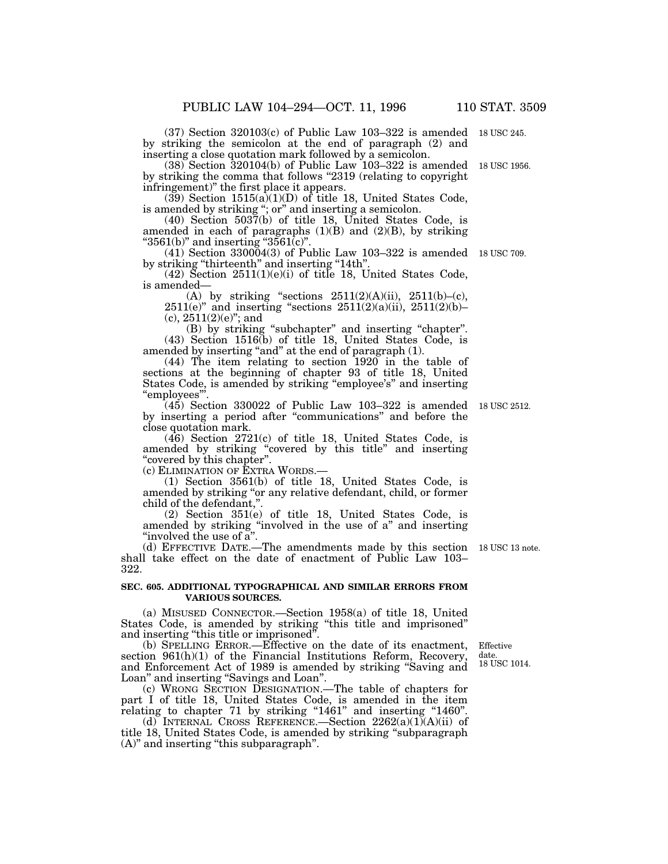(37) Section 320103(c) of Public Law 103–322 is amended 18 USC 245.by striking the semicolon at the end of paragraph (2) and inserting a close quotation mark followed by a semicolon.

(38) Section 320104(b) of Public Law 103–322 is amended 18 USC 1956. by striking the comma that follows "2319 (relating to copyright infringement)'' the first place it appears.

 $(39)$  Section  $1515(a)(1)(D)$  of title 18, United States Code, is amended by striking "; or" and inserting a semicolon.

(40) Section 5037(b) of title 18, United States Code, is amended in each of paragraphs  $(1)(B)$  and  $(2)(B)$ , by striking " $3561(b)$ " and inserting " $3561(c)$ ".

(41) Section 330004(3) of Public Law 103–322 is amended 18 USC 709. by striking "thirteenth" and inserting "14th".

(42) Section 2511(1)(e)(i) of title 18, United States Code, is amended—

(A) by striking "sections  $2511(2)(A)(ii)$ ,  $2511(b)-(c)$ , 2511(e)'' and inserting ''sections 2511(2)(a)(ii), 2511(2)(b)–  $(c)$ ,  $2511(2)(e)$ "; and

(B) by striking ''subchapter'' and inserting ''chapter''. (43) Section 1516(b) of title 18, United States Code, is amended by inserting "and" at the end of paragraph (1).

(44) The item relating to section 1920 in the table of sections at the beginning of chapter 93 of title 18, United States Code, is amended by striking "employee's" and inserting ''employees'''.

(45) Section 330022 of Public Law 103–322 is amended 18 USC 2512. by inserting a period after ''communications'' and before the close quotation mark.

(46) Section 2721(c) of title 18, United States Code, is amended by striking ''covered by this title'' and inserting "covered by this chapter".

(c) ELIMINATION OF EXTRA WORDS.—

(1) Section 3561(b) of title 18, United States Code, is amended by striking "or any relative defendant, child, or former child of the defendant,''.

(2) Section 351(e) of title 18, United States Code, is amended by striking ''involved in the use of a'' and inserting "involved the use of a".

(d) EFFECTIVE DATE.—The amendments made by this section 18 USC 13 note. shall take effect on the date of enactment of Public Law 103– 322.

### **SEC. 605. ADDITIONAL TYPOGRAPHICAL AND SIMILAR ERRORS FROM VARIOUS SOURCES.**

(a) MISUSED CONNECTOR.—Section 1958(a) of title 18, United States Code, is amended by striking ''this title and imprisoned'' and inserting "this title or imprisoned".

(b) SPELLING ERROR.—Effective on the date of its enactment, section 961(h)(1) of the Financial Institutions Reform, Recovery, and Enforcement Act of 1989 is amended by striking ''Saving and Loan" and inserting "Savings and Loan".

(c) WRONG SECTION DESIGNATION.—The table of chapters for part I of title 18, United States Code, is amended in the item relating to chapter 71 by striking "1461" and inserting "1460".

(d) INTERNAL CROSS REFERENCE.—Section  $2262(a)(1)(A)(ii)$  of title 18, United States Code, is amended by striking ''subparagraph (A)'' and inserting ''this subparagraph''.

Effective date. 18 USC 1014.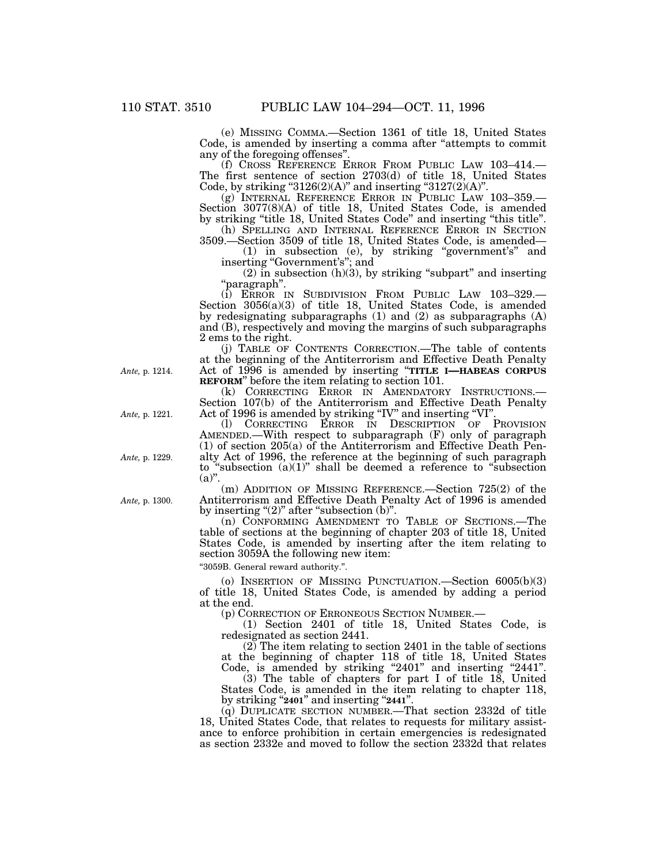(e) MISSING COMMA.—Section 1361 of title 18, United States Code, is amended by inserting a comma after ''attempts to commit any of the foregoing offenses''.

(f) CROSS REFERENCE ERROR FROM PUBLIC LAW 103–414.— The first sentence of section 2703(d) of title 18, United States Code, by striking "3126 $(2)(A)$ " and inserting "3127 $(2)(A)$ ".

(g) INTERNAL REFERENCE ERROR IN PUBLIC LAW 103–359.— Section 3077(8)(A) of title 18, United States Code, is amended by striking ''title 18, United States Code'' and inserting ''this title''.

(h) SPELLING AND INTERNAL REFERENCE ERROR IN SECTION 3509.—Section 3509 of title 18, United States Code, is amended—

(1) in subsection (e), by striking ''government's'' and inserting ''Government's''; and

 $(2)$  in subsection  $(h)(3)$ , by striking "subpart" and inserting ''paragraph''.

(i) ERROR IN SUBDIVISION FROM PUBLIC LAW 103–329.— Section 3056(a)(3) of title 18, United States Code, is amended by redesignating subparagraphs (1) and (2) as subparagraphs (A) and (B), respectively and moving the margins of such subparagraphs 2 ems to the right.

(j) TABLE OF CONTENTS CORRECTION.—The table of contents at the beginning of the Antiterrorism and Effective Death Penalty Act of 1996 is amended by inserting ''**TITLE I—HABEAS CORPUS REFORM**" before the item relating to section 101.<br>(k) CORRECTING ERROR IN AMENDATORY INSTRUCTIONS.—

(k) CORRECTING ERROR IN AMENDATORY INSTRUCTIONS.— Section 107(b) of the Antiterrorism and Effective Death Penalty Act of 1996 is amended by striking "IV" and inserting "VI".

(l) CORRECTING ERROR IN DESCRIPTION OF PROVISION AMENDED.—With respect to subparagraph (F) only of paragraph  $(1)$  of section 205 $(a)$  of the Antiterrorism and Effective Death Penalty Act of 1996, the reference at the beginning of such paragraph to "subsection  $(a)(1)$ " shall be deemed a reference to "subsection"  $(a)$ ".

(m) ADDITION OF MISSING REFERENCE.—Section 725(2) of the Antiterrorism and Effective Death Penalty Act of 1996 is amended by inserting " $(2)$ " after "subsection  $(b)$ ".

(n) CONFORMING AMENDMENT TO TABLE OF SECTIONS.—The table of sections at the beginning of chapter 203 of title 18, United States Code, is amended by inserting after the item relating to section 3059A the following new item:

''3059B. General reward authority.''.

(o) INSERTION OF MISSING PUNCTUATION.—Section 6005(b)(3) of title 18, United States Code, is amended by adding a period at the end.<br>(p) CORRECTION OF ERRONEOUS SECTION NUMBER.—

 $(1)$  Section 2401 of title 18, United States Code, is redesignated as section 2441.

 $(2)$  The item relating to section 2401 in the table of sections at the beginning of chapter 118 of title 18, United States Code, is amended by striking "2401" and inserting "2441".

(3) The table of chapters for part I of title 18, United States Code, is amended in the item relating to chapter 118, by striking ''**2401**'' and inserting ''**2441**''.

(q) DUPLICATE SECTION NUMBER.—That section 2332d of title 18, United States Code, that relates to requests for military assistance to enforce prohibition in certain emergencies is redesignated as section 2332e and moved to follow the section 2332d that relates

*Ante,* p. 1214.

*Ante,* p. 1221.

*Ante,* p. 1229.

*Ante,* p. 1300.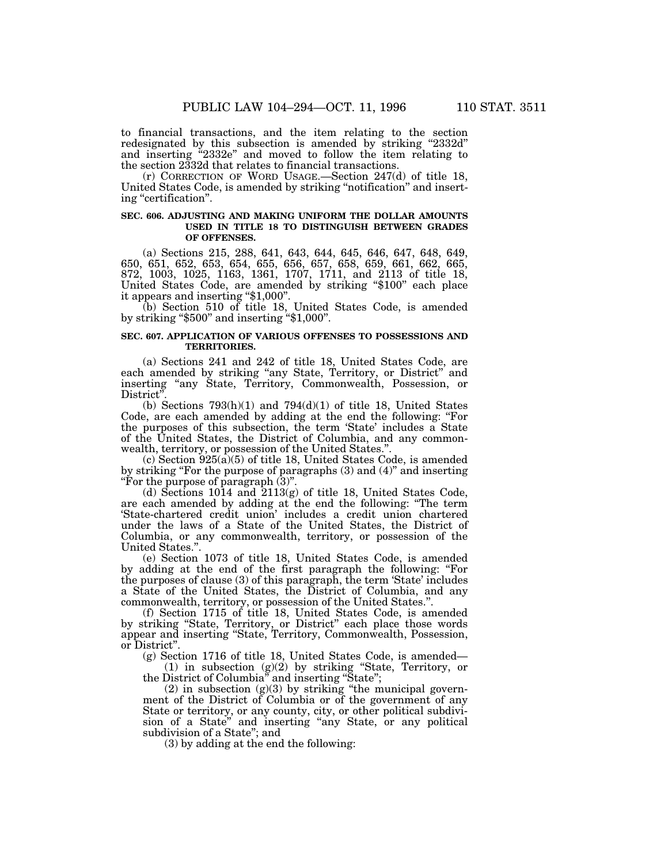to financial transactions, and the item relating to the section redesignated by this subsection is amended by striking "2332d" and inserting ''2332e'' and moved to follow the item relating to

the section 2332d that relates to financial transactions. (r) CORRECTION OF WORD USAGE.—Section 247(d) of title 18, United States Code, is amended by striking ''notification'' and inserting "certification".

### **SEC. 606. ADJUSTING AND MAKING UNIFORM THE DOLLAR AMOUNTS USED IN TITLE 18 TO DISTINGUISH BETWEEN GRADES OF OFFENSES.**

(a) Sections 215, 288, 641, 643, 644, 645, 646, 647, 648, 649, 650, 651, 652, 653, 654, 655, 656, 657, 658, 659, 661, 662, 665, 872, 1003, 1025, 1163, 1361, 1707, 1711, and 2113 of title 18, United States Code, are amended by striking "\$100" each place it appears and inserting "\$1,000".

(b) Section 510 of title 18, United States Code, is amended by striking ''\$500'' and inserting ''\$1,000''.

### **SEC. 607. APPLICATION OF VARIOUS OFFENSES TO POSSESSIONS AND TERRITORIES.**

(a) Sections 241 and 242 of title 18, United States Code, are each amended by striking ''any State, Territory, or District'' and inserting ''any State, Territory, Commonwealth, Possession, or District"

(b) Sections  $793(h)(1)$  and  $794(d)(1)$  of title 18, United States Code, are each amended by adding at the end the following: "For the purposes of this subsection, the term 'State' includes a State of the United States, the District of Columbia, and any commonwealth, territory, or possession of the United States.''.

 $(c)$  Section  $925(a)(5)$  of title 18, United States Code, is amended by striking ''For the purpose of paragraphs (3) and (4)'' and inserting ''For the purpose of paragraph (3)''.

(d) Sections 1014 and 2113(g) of title 18, United States Code, are each amended by adding at the end the following: ''The term 'State-chartered credit union' includes a credit union chartered under the laws of a State of the United States, the District of Columbia, or any commonwealth, territory, or possession of the United States.''.

(e) Section 1073 of title 18, United States Code, is amended by adding at the end of the first paragraph the following: ''For the purposes of clause (3) of this paragraph, the term 'State' includes a State of the United States, the District of Columbia, and any commonwealth, territory, or possession of the United States.''.

(f) Section 1715 of title 18, United States Code, is amended by striking ''State, Territory, or District'' each place those words appear and inserting ''State, Territory, Commonwealth, Possession, or District''.

(g) Section 1716 of title 18, United States Code, is amended—

(1) in subsection (g)(2) by striking ''State, Territory, or the District of Columbia'' and inserting ''State'';

 $(2)$  in subsection  $(g)(3)$  by striking "the municipal government of the District of Columbia or of the government of any State or territory, or any county, city, or other political subdivision of a State" and inserting "any State, or any political subdivision of a State''; and

(3) by adding at the end the following: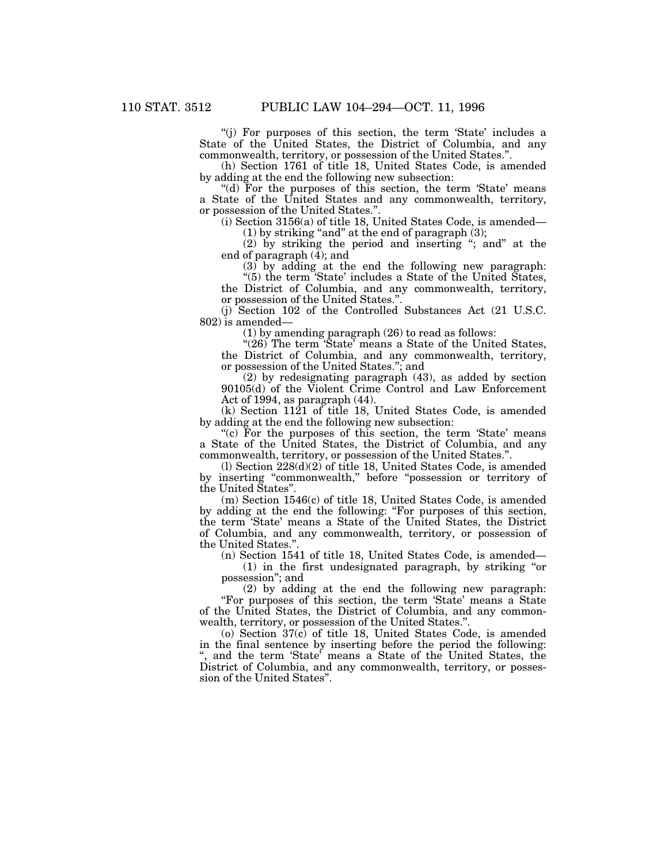''(j) For purposes of this section, the term 'State' includes a State of the United States, the District of Columbia, and any commonwealth, territory, or possession of the United States.''.

(h) Section 1761 of title 18, United States Code, is amended by adding at the end the following new subsection:

"(d) For the purposes of this section, the term 'State' means a State of the United States and any commonwealth, territory, or possession of the United States.''.

(i) Section 3156(a) of title 18, United States Code, is amended—

 $(1)$  by striking "and" at the end of paragraph  $(3)$ ;

(2) by striking the period and inserting ''; and'' at the end of paragraph (4); and

 $(3)$  by adding at the end the following new paragraph:

''(5) the term 'State' includes a State of the United States, the District of Columbia, and any commonwealth, territory, or possession of the United States.''.

(j) Section 102 of the Controlled Substances Act (21 U.S.C. 802) is amended—

(1) by amending paragraph (26) to read as follows:

" $(26)$  The term 'State' means a State of the United States, the District of Columbia, and any commonwealth, territory, or possession of the United States.''; and

(2) by redesignating paragraph (43), as added by section 90105(d) of the Violent Crime Control and Law Enforcement Act of 1994, as paragraph (44).

(k) Section 1121 of title 18, United States Code, is amended by adding at the end the following new subsection:

"(c) For the purposes of this section, the term 'State' means a State of the United States, the District of Columbia, and any commonwealth, territory, or possession of the United States.''.

(l) Section 228(d)(2) of title 18, United States Code, is amended by inserting ''commonwealth,'' before ''possession or territory of the United States''.

(m) Section 1546(c) of title 18, United States Code, is amended by adding at the end the following: ''For purposes of this section, the term 'State' means a State of the United States, the District of Columbia, and any commonwealth, territory, or possession of the United States."

(n) Section 1541 of title 18, United States Code, is amended—

(1) in the first undesignated paragraph, by striking ''or possession''; and

(2) by adding at the end the following new paragraph: ''For purposes of this section, the term 'State' means a State of the United States, the District of Columbia, and any commonwealth, territory, or possession of the United States.''.

(o) Section 37(c) of title 18, United States Code, is amended in the final sentence by inserting before the period the following: '', and the term 'State' means a State of the United States, the District of Columbia, and any commonwealth, territory, or possession of the United States''.